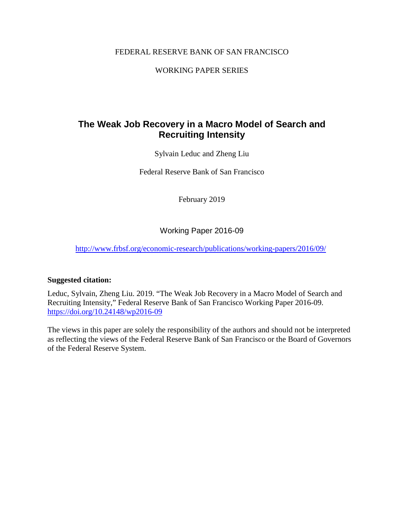# FEDERAL RESERVE BANK OF SAN FRANCISCO

# WORKING PAPER SERIES

# **The Weak Job Recovery in a Macro Model of Search and Recruiting Intensity**

Sylvain Leduc and Zheng Liu

Federal Reserve Bank of San Francisco

February 2019

Working Paper 2016-09

<http://www.frbsf.org/economic-research/publications/working-papers/2016/09/>

## **Suggested citation:**

Leduc, Sylvain, Zheng Liu. 2019. "The Weak Job Recovery in a Macro Model of Search and Recruiting Intensity," Federal Reserve Bank of San Francisco Working Paper 2016-09. <https://doi.org/10.24148/wp2016-09>

The views in this paper are solely the responsibility of the authors and should not be interpreted as reflecting the views of the Federal Reserve Bank of San Francisco or the Board of Governors of the Federal Reserve System.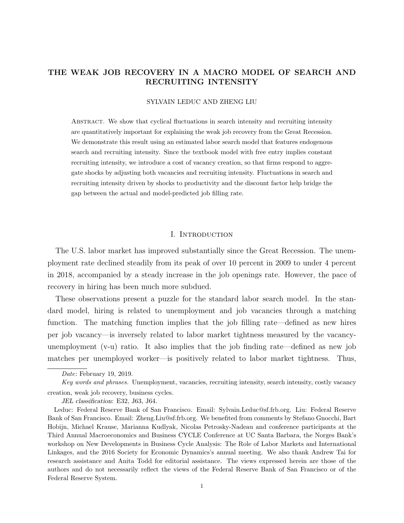## THE WEAK JOB RECOVERY IN A MACRO MODEL OF SEARCH AND RECRUITING INTENSITY

#### SYLVAIN LEDUC AND ZHENG LIU

Abstract. We show that cyclical fluctuations in search intensity and recruiting intensity are quantitatively important for explaining the weak job recovery from the Great Recession. We demonstrate this result using an estimated labor search model that features endogenous search and recruiting intensity. Since the textbook model with free entry implies constant recruiting intensity, we introduce a cost of vacancy creation, so that firms respond to aggregate shocks by adjusting both vacancies and recruiting intensity. Fluctuations in search and recruiting intensity driven by shocks to productivity and the discount factor help bridge the gap between the actual and model-predicted job filling rate.

#### I. INTRODUCTION

The U.S. labor market has improved substantially since the Great Recession. The unemployment rate declined steadily from its peak of over 10 percent in 2009 to under 4 percent in 2018, accompanied by a steady increase in the job openings rate. However, the pace of recovery in hiring has been much more subdued.

These observations present a puzzle for the standard labor search model. In the standard model, hiring is related to unemployment and job vacancies through a matching function. The matching function implies that the job filling rate—defined as new hires per job vacancy—is inversely related to labor market tightness measured by the vacancyunemployment (v-u) ratio. It also implies that the job finding rate—defined as new job matches per unemployed worker—is positively related to labor market tightness. Thus,

JEL classification: E32, J63, J64.

Date: February 19, 2019.

Key words and phrases. Unemployment, vacancies, recruiting intensity, search intensity, costly vacancy creation, weak job recovery, business cycles.

Leduc: Federal Reserve Bank of San Francisco. Email: Sylvain.Leduc@sf.frb.org. Liu: Federal Reserve Bank of San Francisco. Email: Zheng.Liu@sf.frb.org. We benefited from comments by Stefano Gnocchi, Bart Hobijn, Michael Krause, Marianna Kudlyak, Nicolas Petrosky-Nadeau and conference participants at the Third Annual Macroeconomics and Business CYCLE Conference at UC Santa Barbara, the Norges Bank's workshop on New Developments in Business Cycle Analysis: The Role of Labor Markets and International Linkages, and the 2016 Society for Economic Dynamics's annual meeting. We also thank Andrew Tai for research assistance and Anita Todd for editorial assistance. The views expressed herein are those of the authors and do not necessarily reflect the views of the Federal Reserve Bank of San Francisco or of the Federal Reserve System.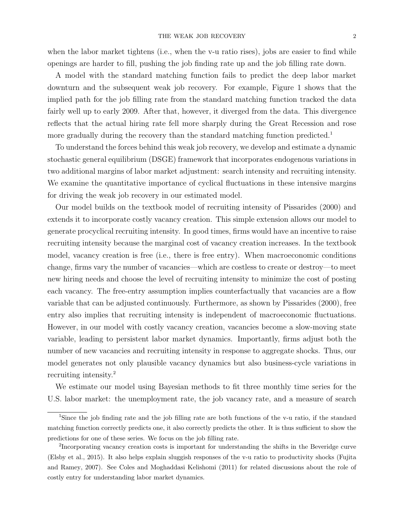when the labor market tightens (i.e., when the v-u ratio rises), jobs are easier to find while openings are harder to fill, pushing the job finding rate up and the job filling rate down.

A model with the standard matching function fails to predict the deep labor market downturn and the subsequent weak job recovery. For example, Figure 1 shows that the implied path for the job filling rate from the standard matching function tracked the data fairly well up to early 2009. After that, however, it diverged from the data. This divergence reflects that the actual hiring rate fell more sharply during the Great Recession and rose more gradually during the recovery than the standard matching function predicted.<sup>1</sup>

To understand the forces behind this weak job recovery, we develop and estimate a dynamic stochastic general equilibrium (DSGE) framework that incorporates endogenous variations in two additional margins of labor market adjustment: search intensity and recruiting intensity. We examine the quantitative importance of cyclical fluctuations in these intensive margins for driving the weak job recovery in our estimated model.

Our model builds on the textbook model of recruiting intensity of Pissarides (2000) and extends it to incorporate costly vacancy creation. This simple extension allows our model to generate procyclical recruiting intensity. In good times, firms would have an incentive to raise recruiting intensity because the marginal cost of vacancy creation increases. In the textbook model, vacancy creation is free (i.e., there is free entry). When macroeconomic conditions change, firms vary the number of vacancies—which are costless to create or destroy—to meet new hiring needs and choose the level of recruiting intensity to minimize the cost of posting each vacancy. The free-entry assumption implies counterfactually that vacancies are a flow variable that can be adjusted continuously. Furthermore, as shown by Pissarides (2000), free entry also implies that recruiting intensity is independent of macroeconomic fluctuations. However, in our model with costly vacancy creation, vacancies become a slow-moving state variable, leading to persistent labor market dynamics. Importantly, firms adjust both the number of new vacancies and recruiting intensity in response to aggregate shocks. Thus, our model generates not only plausible vacancy dynamics but also business-cycle variations in recruiting intensity.<sup>2</sup>

We estimate our model using Bayesian methods to fit three monthly time series for the U.S. labor market: the unemployment rate, the job vacancy rate, and a measure of search

<sup>&</sup>lt;sup>1</sup>Since the job finding rate and the job filling rate are both functions of the v-u ratio, if the standard matching function correctly predicts one, it also correctly predicts the other. It is thus sufficient to show the predictions for one of these series. We focus on the job filling rate.

<sup>&</sup>lt;sup>2</sup>Incorporating vacancy creation costs is important for understanding the shifts in the Beveridge curve (Elsby et al., 2015). It also helps explain sluggish responses of the v-u ratio to productivity shocks (Fujita and Ramey, 2007). See Coles and Moghaddasi Kelishomi (2011) for related discussions about the role of costly entry for understanding labor market dynamics.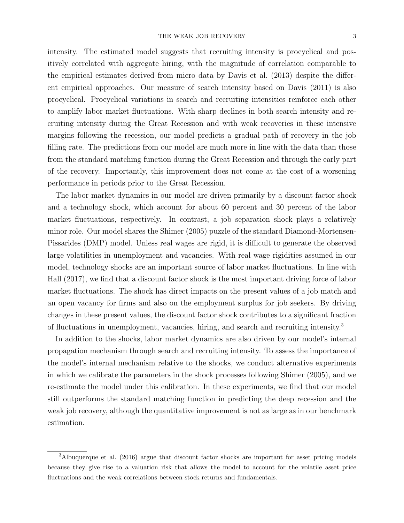intensity. The estimated model suggests that recruiting intensity is procyclical and positively correlated with aggregate hiring, with the magnitude of correlation comparable to the empirical estimates derived from micro data by Davis et al. (2013) despite the different empirical approaches. Our measure of search intensity based on Davis (2011) is also procyclical. Procyclical variations in search and recruiting intensities reinforce each other to amplify labor market fluctuations. With sharp declines in both search intensity and recruiting intensity during the Great Recession and with weak recoveries in these intensive margins following the recession, our model predicts a gradual path of recovery in the job filling rate. The predictions from our model are much more in line with the data than those from the standard matching function during the Great Recession and through the early part of the recovery. Importantly, this improvement does not come at the cost of a worsening performance in periods prior to the Great Recession.

The labor market dynamics in our model are driven primarily by a discount factor shock and a technology shock, which account for about 60 percent and 30 percent of the labor market fluctuations, respectively. In contrast, a job separation shock plays a relatively minor role. Our model shares the Shimer (2005) puzzle of the standard Diamond-Mortensen-Pissarides (DMP) model. Unless real wages are rigid, it is difficult to generate the observed large volatilities in unemployment and vacancies. With real wage rigidities assumed in our model, technology shocks are an important source of labor market fluctuations. In line with Hall (2017), we find that a discount factor shock is the most important driving force of labor market fluctuations. The shock has direct impacts on the present values of a job match and an open vacancy for firms and also on the employment surplus for job seekers. By driving changes in these present values, the discount factor shock contributes to a significant fraction of fluctuations in unemployment, vacancies, hiring, and search and recruiting intensity.<sup>3</sup>

In addition to the shocks, labor market dynamics are also driven by our model's internal propagation mechanism through search and recruiting intensity. To assess the importance of the model's internal mechanism relative to the shocks, we conduct alternative experiments in which we calibrate the parameters in the shock processes following Shimer (2005), and we re-estimate the model under this calibration. In these experiments, we find that our model still outperforms the standard matching function in predicting the deep recession and the weak job recovery, although the quantitative improvement is not as large as in our benchmark estimation.

<sup>&</sup>lt;sup>3</sup>Albuquerque et al. (2016) argue that discount factor shocks are important for asset pricing models because they give rise to a valuation risk that allows the model to account for the volatile asset price fluctuations and the weak correlations between stock returns and fundamentals.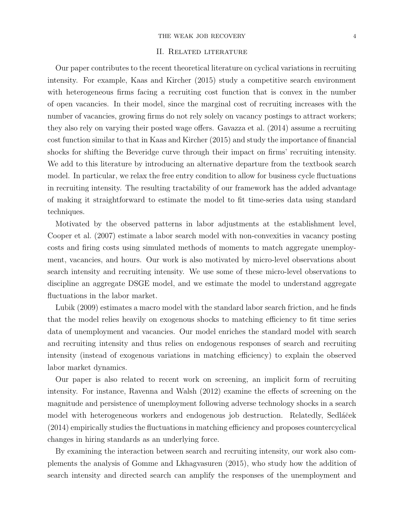#### THE WEAK JOB RECOVERY 4

#### II. Related literature

Our paper contributes to the recent theoretical literature on cyclical variations in recruiting intensity. For example, Kaas and Kircher (2015) study a competitive search environment with heterogeneous firms facing a recruiting cost function that is convex in the number of open vacancies. In their model, since the marginal cost of recruiting increases with the number of vacancies, growing firms do not rely solely on vacancy postings to attract workers; they also rely on varying their posted wage offers. Gavazza et al. (2014) assume a recruiting cost function similar to that in Kaas and Kircher (2015) and study the importance of financial shocks for shifting the Beveridge curve through their impact on firms' recruiting intensity. We add to this literature by introducing an alternative departure from the textbook search model. In particular, we relax the free entry condition to allow for business cycle fluctuations in recruiting intensity. The resulting tractability of our framework has the added advantage of making it straightforward to estimate the model to fit time-series data using standard techniques.

Motivated by the observed patterns in labor adjustments at the establishment level, Cooper et al. (2007) estimate a labor search model with non-convexities in vacancy posting costs and firing costs using simulated methods of moments to match aggregate unemployment, vacancies, and hours. Our work is also motivated by micro-level observations about search intensity and recruiting intensity. We use some of these micro-level observations to discipline an aggregate DSGE model, and we estimate the model to understand aggregate fluctuations in the labor market.

Lubik (2009) estimates a macro model with the standard labor search friction, and he finds that the model relies heavily on exogenous shocks to matching efficiency to fit time series data of unemployment and vacancies. Our model enriches the standard model with search and recruiting intensity and thus relies on endogenous responses of search and recruiting intensity (instead of exogenous variations in matching efficiency) to explain the observed labor market dynamics.

Our paper is also related to recent work on screening, an implicit form of recruiting intensity. For instance, Ravenna and Walsh (2012) examine the effects of screening on the magnitude and persistence of unemployment following adverse technology shocks in a search model with heterogeneous workers and endogenous job destruction. Relatedly, Sedláček (2014) empirically studies the fluctuations in matching efficiency and proposes countercyclical changes in hiring standards as an underlying force.

By examining the interaction between search and recruiting intensity, our work also complements the analysis of Gomme and Lkhagvasuren (2015), who study how the addition of search intensity and directed search can amplify the responses of the unemployment and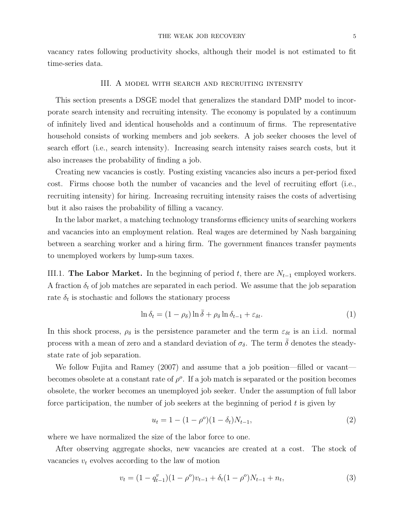vacancy rates following productivity shocks, although their model is not estimated to fit time-series data.

#### III. A MODEL WITH SEARCH AND RECRUITING INTENSITY

This section presents a DSGE model that generalizes the standard DMP model to incorporate search intensity and recruiting intensity. The economy is populated by a continuum of infinitely lived and identical households and a continuum of firms. The representative household consists of working members and job seekers. A job seeker chooses the level of search effort (i.e., search intensity). Increasing search intensity raises search costs, but it also increases the probability of finding a job.

Creating new vacancies is costly. Posting existing vacancies also incurs a per-period fixed cost. Firms choose both the number of vacancies and the level of recruiting effort (i.e., recruiting intensity) for hiring. Increasing recruiting intensity raises the costs of advertising but it also raises the probability of filling a vacancy.

In the labor market, a matching technology transforms efficiency units of searching workers and vacancies into an employment relation. Real wages are determined by Nash bargaining between a searching worker and a hiring firm. The government finances transfer payments to unemployed workers by lump-sum taxes.

III.1. The Labor Market. In the beginning of period t, there are  $N_{t-1}$  employed workers. A fraction  $\delta_t$  of job matches are separated in each period. We assume that the job separation rate  $\delta_t$  is stochastic and follows the stationary process

$$
\ln \delta_t = (1 - \rho_\delta) \ln \bar{\delta} + \rho_\delta \ln \delta_{t-1} + \varepsilon_{\delta t}.
$$
\n(1)

In this shock process,  $\rho_{\delta}$  is the persistence parameter and the term  $\varepsilon_{\delta t}$  is an i.i.d. normal process with a mean of zero and a standard deviation of  $\sigma_{\delta}$ . The term  $\bar{\delta}$  denotes the steadystate rate of job separation.

We follow Fujita and Ramey (2007) and assume that a job position—filled or vacant becomes obsolete at a constant rate of  $\rho^o$ . If a job match is separated or the position becomes obsolete, the worker becomes an unemployed job seeker. Under the assumption of full labor force participation, the number of job seekers at the beginning of period  $t$  is given by

$$
u_t = 1 - (1 - \rho^o)(1 - \delta_t)N_{t-1},\tag{2}
$$

where we have normalized the size of the labor force to one.

After observing aggregate shocks, new vacancies are created at a cost. The stock of vacancies  $v_t$  evolves according to the law of motion

$$
v_t = (1 - q_{t-1}^v)(1 - \rho^o)v_{t-1} + \delta_t(1 - \rho^o)N_{t-1} + n_t,
$$
\n(3)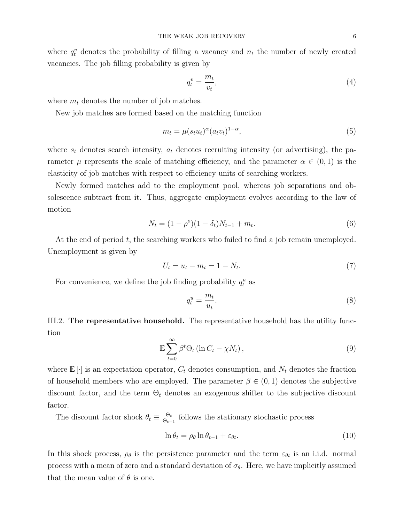where  $q_t^v$  denotes the probability of filling a vacancy and  $n_t$  the number of newly created vacancies. The job filling probability is given by

$$
q_t^v = \frac{m_t}{v_t},\tag{4}
$$

where  $m_t$  denotes the number of job matches.

New job matches are formed based on the matching function

$$
m_t = \mu(s_t u_t)^{\alpha} (a_t v_t)^{1-\alpha}, \tag{5}
$$

where  $s_t$  denotes search intensity,  $a_t$  denotes recruiting intensity (or advertising), the parameter  $\mu$  represents the scale of matching efficiency, and the parameter  $\alpha \in (0,1)$  is the elasticity of job matches with respect to efficiency units of searching workers.

Newly formed matches add to the employment pool, whereas job separations and obsolescence subtract from it. Thus, aggregate employment evolves according to the law of motion

$$
N_t = (1 - \rho^o)(1 - \delta_t)N_{t-1} + m_t.
$$
\n(6)

At the end of period t, the searching workers who failed to find a job remain unemployed. Unemployment is given by

$$
U_t = u_t - m_t = 1 - N_t. \t\t(7)
$$

For convenience, we define the job finding probability  $q_t^u$  as

$$
q_t^u = \frac{m_t}{u_t}.\tag{8}
$$

III.2. The representative household. The representative household has the utility function

$$
\mathbb{E}\sum_{t=0}^{\infty} \beta^t \Theta_t \left(\ln C_t - \chi N_t\right),\tag{9}
$$

where  $\mathbb{E}[\cdot]$  is an expectation operator,  $C_t$  denotes consumption, and  $N_t$  denotes the fraction of household members who are employed. The parameter  $\beta \in (0,1)$  denotes the subjective discount factor, and the term  $\Theta_t$  denotes an exogenous shifter to the subjective discount factor.

The discount factor shock  $\theta_t \equiv \frac{\Theta_t}{\Theta_t}$  $\frac{\Theta_t}{\Theta_{t-1}}$  follows the stationary stochastic process

$$
\ln \theta_t = \rho_\theta \ln \theta_{t-1} + \varepsilon_{\theta t}.\tag{10}
$$

In this shock process,  $\rho_{\theta}$  is the persistence parameter and the term  $\varepsilon_{\theta t}$  is an i.i.d. normal process with a mean of zero and a standard deviation of  $\sigma_{\theta}$ . Here, we have implicitly assumed that the mean value of  $\theta$  is one.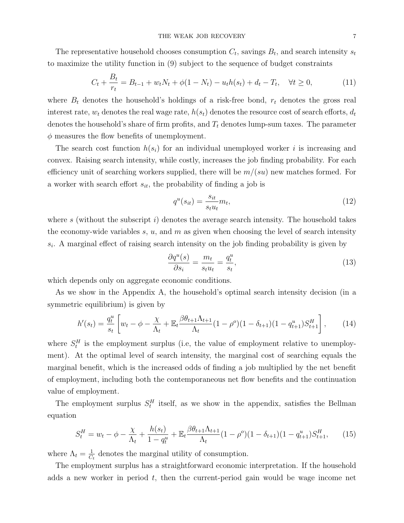The representative household chooses consumption  $C_t$ , savings  $B_t$ , and search intensity  $s_t$ to maximize the utility function in (9) subject to the sequence of budget constraints

$$
C_t + \frac{B_t}{r_t} = B_{t-1} + w_t N_t + \phi(1 - N_t) - u_t h(s_t) + d_t - T_t, \quad \forall t \ge 0,
$$
\n(11)

where  $B_t$  denotes the household's holdings of a risk-free bond,  $r_t$  denotes the gross real interest rate,  $w_t$  denotes the real wage rate,  $h(s_t)$  denotes the resource cost of search efforts,  $d_t$ denotes the household's share of firm profits, and  $T_t$  denotes lump-sum taxes. The parameter  $\phi$  measures the flow benefits of unemployment.

The search cost function  $h(s_i)$  for an individual unemployed worker i is increasing and convex. Raising search intensity, while costly, increases the job finding probability. For each efficiency unit of searching workers supplied, there will be  $m/(su)$  new matches formed. For a worker with search effort  $s_{it}$ , the probability of finding a job is

$$
q^u(s_{it}) = \frac{s_{it}}{s_t u_t} m_t,\tag{12}
$$

where s (without the subscript  $i$ ) denotes the average search intensity. The household takes the economy-wide variables s,  $u$ , and  $m$  as given when choosing the level of search intensity  $s_i$ . A marginal effect of raising search intensity on the job finding probability is given by

$$
\frac{\partial q^u(s)}{\partial s_i} = \frac{m_t}{s_t u_t} = \frac{q_t^u}{s_t},\tag{13}
$$

which depends only on aggregate economic conditions.

As we show in the Appendix A, the household's optimal search intensity decision (in a symmetric equilibrium) is given by

$$
h'(s_t) = \frac{q_t^u}{s_t} \left[ w_t - \phi - \frac{\chi}{\Lambda_t} + \mathbb{E}_t \frac{\beta \theta_{t+1} \Lambda_{t+1}}{\Lambda_t} (1 - \rho^o)(1 - \delta_{t+1})(1 - q_{t+1}^u) S_{t+1}^H \right], \tag{14}
$$

where  $S_t^H$  is the employment surplus (i.e, the value of employment relative to unemployment). At the optimal level of search intensity, the marginal cost of searching equals the marginal benefit, which is the increased odds of finding a job multiplied by the net benefit of employment, including both the contemporaneous net flow benefits and the continuation value of employment.

The employment surplus  $S_t^H$  itself, as we show in the appendix, satisfies the Bellman equation

$$
S_t^H = w_t - \phi - \frac{\chi}{\Lambda_t} + \frac{h(s_t)}{1 - q_t^u} + \mathbb{E}_t \frac{\beta \theta_{t+1} \Lambda_{t+1}}{\Lambda_t} (1 - \rho^o)(1 - \delta_{t+1})(1 - q_{t+1}^u) S_{t+1}^H, \tag{15}
$$

where  $\Lambda_t = \frac{1}{C}$  $\frac{1}{C_t}$  denotes the marginal utility of consumption.

The employment surplus has a straightforward economic interpretation. If the household adds a new worker in period  $t$ , then the current-period gain would be wage income net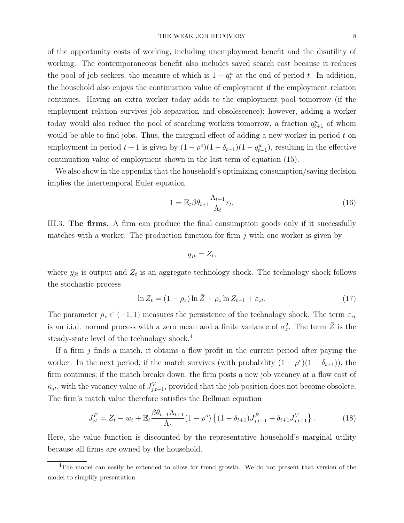of the opportunity costs of working, including unemployment benefit and the disutility of working. The contemporaneous benefit also includes saved search cost because it reduces the pool of job seekers, the measure of which is  $1 - q_t^u$  at the end of period t. In addition, the household also enjoys the continuation value of employment if the employment relation continues. Having an extra worker today adds to the employment pool tomorrow (if the employment relation survives job separation and obsolescence); however, adding a worker today would also reduce the pool of searching workers tomorrow, a fraction  $q_{t+1}^u$  of whom would be able to find jobs. Thus, the marginal effect of adding a new worker in period  $t$  on employment in period  $t+1$  is given by  $(1-\rho^o)(1-\delta_{t+1})(1-q^u_{t+1})$ , resulting in the effective continuation value of employment shown in the last term of equation (15).

We also show in the appendix that the household's optimizing consumption/saving decision implies the intertemporal Euler equation

$$
1 = \mathbb{E}_t \beta \theta_{t+1} \frac{\Lambda_{t+1}}{\Lambda_t} r_t.
$$
\n(16)

III.3. The firms. A firm can produce the final consumption goods only if it successfully matches with a worker. The production function for firm  $j$  with one worker is given by

$$
y_{jt} = Z_t,
$$

where  $y_{jt}$  is output and  $Z_t$  is an aggregate technology shock. The technology shock follows the stochastic process

$$
\ln Z_t = (1 - \rho_z) \ln \bar{Z} + \rho_z \ln Z_{t-1} + \varepsilon_{zt}.
$$
\n(17)

The parameter  $\rho_z \in (-1, 1)$  measures the persistence of the technology shock. The term  $\varepsilon_{zt}$ is an i.i.d. normal process with a zero mean and a finite variance of  $\sigma_z^2$ . The term  $\overline{Z}$  is the steady-state level of the technology shock.<sup>4</sup>

If a firm  $j$  finds a match, it obtains a flow profit in the current period after paying the worker. In the next period, if the match survives (with probability  $(1 - \rho^o)(1 - \delta_{t+1})$ ), the firm continues; if the match breaks down, the firm posts a new job vacancy at a flow cost of  $\kappa_{jt}$ , with the vacancy value of  $J_{j,t+1}^V$ , provided that the job position does not become obsolete. The firm's match value therefore satisfies the Bellman equation

$$
J_{jt}^F = Z_t - w_t + \mathbb{E}_t \frac{\beta \theta_{t+1} \Lambda_{t+1}}{\Lambda_t} (1 - \rho^o) \left\{ (1 - \delta_{t+1}) J_{j,t+1}^F + \delta_{t+1} J_{j,t+1}^V \right\}.
$$
 (18)

Here, the value function is discounted by the representative household's marginal utility because all firms are owned by the household.

<sup>&</sup>lt;sup>4</sup>The model can easily be extended to allow for trend growth. We do not present that version of the model to simplify presentation.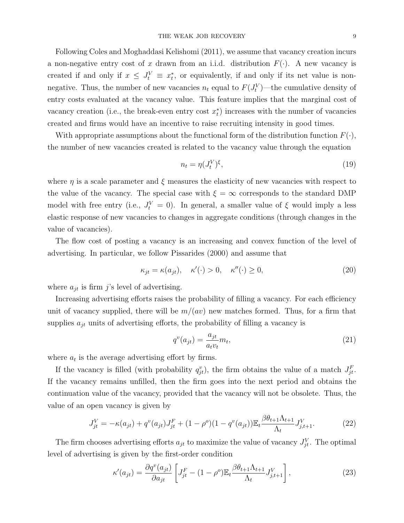Following Coles and Moghaddasi Kelishomi (2011), we assume that vacancy creation incurs a non-negative entry cost of x drawn from an i.i.d. distribution  $F(\cdot)$ . A new vacancy is created if and only if  $x \leq J_t^V \equiv x_t^*$ , or equivalently, if and only if its net value is nonnegative. Thus, the number of new vacancies  $n_t$  equal to  $F(J_t^V)$ —the cumulative density of entry costs evaluated at the vacancy value. This feature implies that the marginal cost of vacancy creation (i.e., the break-even entry cost  $x_t^*$ ) increases with the number of vacancies created and firms would have an incentive to raise recruiting intensity in good times.

With appropriate assumptions about the functional form of the distribution function  $F(\cdot)$ , the number of new vacancies created is related to the vacancy value through the equation

$$
n_t = \eta(J_t^V)^\xi,\tag{19}
$$

where  $\eta$  is a scale parameter and  $\xi$  measures the elasticity of new vacancies with respect to the value of the vacancy. The special case with  $\xi = \infty$  corresponds to the standard DMP model with free entry (i.e.,  $J_t^V = 0$ ). In general, a smaller value of  $\xi$  would imply a less elastic response of new vacancies to changes in aggregate conditions (through changes in the value of vacancies).

The flow cost of posting a vacancy is an increasing and convex function of the level of advertising. In particular, we follow Pissarides (2000) and assume that

$$
\kappa_{jt} = \kappa(a_{jt}), \quad \kappa'(\cdot) > 0, \quad \kappa''(\cdot) \ge 0,
$$
\n(20)

where  $a_{it}$  is firm j's level of advertising.

Increasing advertising efforts raises the probability of filling a vacancy. For each efficiency unit of vacancy supplied, there will be  $m/(av)$  new matches formed. Thus, for a firm that supplies  $a_{it}$  units of advertising efforts, the probability of filling a vacancy is

$$
q^v(a_{jt}) = \frac{a_{jt}}{a_t v_t} m_t,\tag{21}
$$

where  $a_t$  is the average advertising effort by firms.

If the vacancy is filled (with probability  $q_{jt}^v$ ), the firm obtains the value of a match  $J_{jt}^F$ . If the vacancy remains unfilled, then the firm goes into the next period and obtains the continuation value of the vacancy, provided that the vacancy will not be obsolete. Thus, the value of an open vacancy is given by

$$
J_{jt}^V = -\kappa(a_{jt}) + q^v(a_{jt})J_{jt}^F + (1 - \rho^o)(1 - q^v(a_{jt}))\mathbb{E}_t \frac{\beta \theta_{t+1} \Lambda_{t+1}}{\Lambda_t} J_{j,t+1}^V.
$$
 (22)

The firm chooses advertising efforts  $a_{jt}$  to maximize the value of vacancy  $J_{jt}^V$ . The optimal level of advertising is given by the first-order condition

$$
\kappa'(a_{jt}) = \frac{\partial q^v(a_{jt})}{\partial a_{jt}} \left[ J_{jt}^F - (1 - \rho^o) \mathbb{E}_t \frac{\beta \theta_{t+1} \Lambda_{t+1}}{\Lambda_t} J_{j,t+1}^V \right],\tag{23}
$$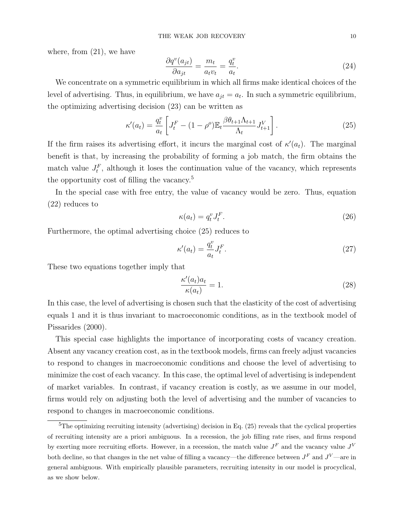where, from (21), we have

$$
\frac{\partial q^v(a_{jt})}{\partial a_{jt}} = \frac{m_t}{a_t v_t} = \frac{q_t^v}{a_t}.
$$
\n(24)

We concentrate on a symmetric equilibrium in which all firms make identical choices of the level of advertising. Thus, in equilibrium, we have  $a_{jt} = a_t$ . In such a symmetric equilibrium, the optimizing advertising decision (23) can be written as

$$
\kappa'(a_t) = \frac{q_t^v}{a_t} \left[ J_t^F - (1 - \rho^o) \mathbb{E}_t \frac{\beta \theta_{t+1} \Lambda_{t+1}}{\Lambda_t} J_{t+1}^V \right]. \tag{25}
$$

If the firm raises its advertising effort, it incurs the marginal cost of  $\kappa'(a_t)$ . The marginal benefit is that, by increasing the probability of forming a job match, the firm obtains the match value  $J_t^F$ , although it loses the continuation value of the vacancy, which represents the opportunity cost of filling the vacancy.<sup>5</sup>

In the special case with free entry, the value of vacancy would be zero. Thus, equation (22) reduces to

$$
\kappa(a_t) = q_t^v J_t^F. \tag{26}
$$

Furthermore, the optimal advertising choice (25) reduces to

$$
\kappa'(a_t) = \frac{q_t^v}{a_t} J_t^F. \tag{27}
$$

These two equations together imply that

$$
\frac{\kappa'(a_t)a_t}{\kappa(a_t)} = 1.
$$
\n(28)

In this case, the level of advertising is chosen such that the elasticity of the cost of advertising equals 1 and it is thus invariant to macroeconomic conditions, as in the textbook model of Pissarides (2000).

This special case highlights the importance of incorporating costs of vacancy creation. Absent any vacancy creation cost, as in the textbook models, firms can freely adjust vacancies to respond to changes in macroeconomic conditions and choose the level of advertising to minimize the cost of each vacancy. In this case, the optimal level of advertising is independent of market variables. In contrast, if vacancy creation is costly, as we assume in our model, firms would rely on adjusting both the level of advertising and the number of vacancies to respond to changes in macroeconomic conditions.

 ${}^{5}$ The optimizing recruiting intensity (advertising) decision in Eq. (25) reveals that the cyclical properties of recruiting intensity are a priori ambiguous. In a recession, the job filling rate rises, and firms respond by exerting more recruiting efforts. However, in a recession, the match value  $J<sup>F</sup>$  and the vacancy value  $J<sup>V</sup>$ both decline, so that changes in the net value of filling a vacancy—the difference between  $J^F$  and  $J^V$ —are in general ambiguous. With empirically plausible parameters, recruiting intensity in our model is procyclical, as we show below.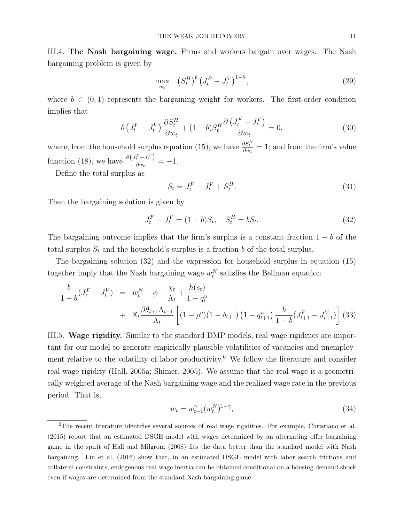III.4. The Nash bargaining wage. Firms and workers bargain over wages. The Nash bargaining problem is given by

$$
\max_{w_t} \quad (S_t^H)^b \left( J_t^F - J_t^V \right)^{1-b}, \tag{29}
$$

where  $b \in (0,1)$  represents the bargaining weight for workers. The first-order condition implies that

$$
b\left(J_t^F - J_t^V\right) \frac{\partial S_t^H}{\partial w_t} + (1 - b)S_t^H \frac{\partial \left(J_t^F - J_t^V\right)}{\partial w_t} = 0,\tag{30}
$$

where, from the household surplus equation (15), we have  $\frac{\partial S_t^H}{\partial w_t} = 1$ ; and from the firm's value function (18), we have  $\frac{\partial (J_t^F - J_t^V)}{\partial w_t}$  $\frac{e^{-\theta}t}{\partial w_t} = -1.$ 

Define the total surplus as

$$
S_t = J_t^F - J_t^V + S_t^H. \tag{31}
$$

Then the bargaining solution is given by

$$
J_t^F - J_t^V = (1 - b)S_t, \quad S_t^H = bS_t.
$$
\n(32)

The bargaining outcome implies that the firm's surplus is a constant fraction  $1 - b$  of the total surplus  $S_t$  and the household's surplus is a fraction b of the total surplus.

The bargaining solution (32) and the expression for household surplus in equation (15) together imply that the Nash bargaining wage  $w_t^N$  satisfies the Bellman equation

$$
\frac{b}{1-b}(J_t^F - J_t^V) = w_t^N - \phi - \frac{\chi_t}{\Lambda_t} + \frac{h(s_t)}{1-q_t^u} + \mathbb{E}_t \frac{\beta \theta_{t+1} \Lambda_{t+1}}{\Lambda_t} \left[ (1-\rho^o)(1-\delta_{t+1}) \left(1-q_{t+1}^u\right) \frac{b}{1-b} (J_{t+1}^F - J_{t+1}^V) \right] (33)
$$

III.5. Wage rigidity. Similar to the standard DMP models, real wage rigidities are important for our model to generate empirically plausible volatilities of vacancies and unemployment relative to the volatility of labor productivity.<sup>6</sup> We follow the literature and consider real wage rigidity (Hall, 2005a; Shimer, 2005). We assume that the real wage is a geometrically weighted average of the Nash bargaining wage and the realized wage rate in the previous period. That is,

$$
w_t = w_{t-1}^{\gamma} (w_t^N)^{1-\gamma}, \tag{34}
$$

<sup>&</sup>lt;sup>6</sup>The recent literature identifies several sources of real wage rigidities. For example, Christiano et al. (2015) report that an estimated DSGE model with wages determined by an alternating offer bargaining game in the spirit of Hall and Milgrom (2008) fits the data better than the standard model with Nash bargaining. Liu et al. (2016) show that, in an estimated DSGE model with labor search frictions and collateral constraints, endogenous real wage inertia can be obtained conditional on a housing demand shock even if wages are determined from the standard Nash bargaining game.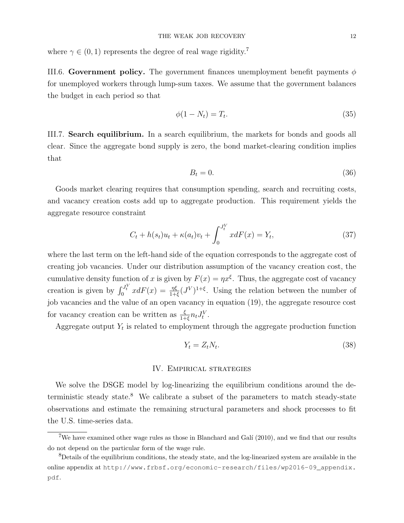where  $\gamma \in (0, 1)$  represents the degree of real wage rigidity.<sup>7</sup>

III.6. Government policy. The government finances unemployment benefit payments  $\phi$ for unemployed workers through lump-sum taxes. We assume that the government balances the budget in each period so that

$$
\phi(1 - N_t) = T_t. \tag{35}
$$

III.7. Search equilibrium. In a search equilibrium, the markets for bonds and goods all clear. Since the aggregate bond supply is zero, the bond market-clearing condition implies that

$$
B_t = 0.\t\t(36)
$$

Goods market clearing requires that consumption spending, search and recruiting costs, and vacancy creation costs add up to aggregate production. This requirement yields the aggregate resource constraint

$$
C_t + h(s_t)u_t + \kappa(a_t)v_t + \int_0^{J_t^V} x dF(x) = Y_t,
$$
\n(37)

where the last term on the left-hand side of the equation corresponds to the aggregate cost of creating job vacancies. Under our distribution assumption of the vacancy creation cost, the cumulative density function of x is given by  $F(x) = \eta x^{\xi}$ . Thus, the aggregate cost of vacancy creation is given by  $\int_0^{J_t^V} x dF(x) = \frac{\eta \xi}{1+\xi} (J^V)^{1+\xi}$ . Using the relation between the number of job vacancies and the value of an open vacancy in equation (19), the aggregate resource cost for vacancy creation can be written as  $\frac{\xi}{1+\xi}n_tJ_t^V$ .

Aggregate output  $Y_t$  is related to employment through the aggregate production function

$$
Y_t = Z_t N_t. \tag{38}
$$

### IV. Empirical strategies

We solve the DSGE model by log-linearizing the equilibrium conditions around the deterministic steady state.<sup>8</sup> We calibrate a subset of the parameters to match steady-state observations and estimate the remaining structural parameters and shock processes to fit the U.S. time-series data.

<sup>&</sup>lt;sup>7</sup>We have examined other wage rules as those in Blanchard and Galí  $(2010)$ , and we find that our results do not depend on the particular form of the wage rule.

<sup>&</sup>lt;sup>8</sup>Details of the equilibrium conditions, the steady state, and the log-linearized system are available in the online appendix at http://www.frbsf.org/economic-research/files/wp2016-09\_appendix. pdf.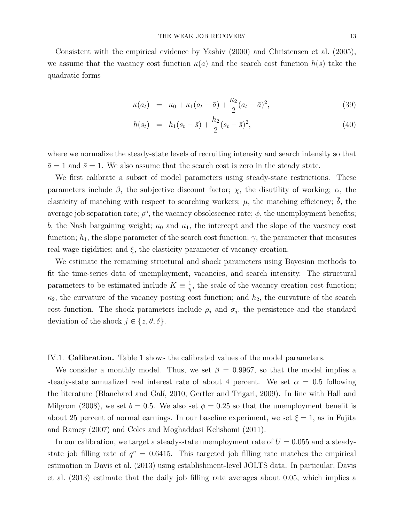Consistent with the empirical evidence by Yashiv (2000) and Christensen et al. (2005), we assume that the vacancy cost function  $\kappa(a)$  and the search cost function  $h(s)$  take the quadratic forms

$$
\kappa(a_t) = \kappa_0 + \kappa_1(a_t - \bar{a}) + \frac{\kappa_2}{2}(a_t - \bar{a})^2,
$$
\n(39)

$$
h(s_t) = h_1(s_t - \bar{s}) + \frac{h_2}{2}(s_t - \bar{s})^2,
$$
\n(40)

where we normalize the steady-state levels of recruiting intensity and search intensity so that  $\bar{a} = 1$  and  $\bar{s} = 1$ . We also assume that the search cost is zero in the steady state.

We first calibrate a subset of model parameters using steady-state restrictions. These parameters include  $\beta$ , the subjective discount factor;  $\chi$ , the disutility of working;  $\alpha$ , the elasticity of matching with respect to searching workers;  $\mu$ , the matching efficiency;  $\delta$ , the average job separation rate;  $\rho^o$ , the vacancy obsolescence rate;  $\phi$ , the unemployment benefits; b, the Nash bargaining weight;  $\kappa_0$  and  $\kappa_1$ , the intercept and the slope of the vacancy cost function;  $h_1$ , the slope parameter of the search cost function;  $\gamma$ , the parameter that measures real wage rigidities; and  $\xi$ , the elasticity parameter of vacancy creation.

We estimate the remaining structural and shock parameters using Bayesian methods to fit the time-series data of unemployment, vacancies, and search intensity. The structural parameters to be estimated include  $K \equiv \frac{1}{n}$  $\frac{1}{\eta}$ , the scale of the vacancy creation cost function;  $\kappa_2$ , the curvature of the vacancy posting cost function; and  $h_2$ , the curvature of the search cost function. The shock parameters include  $\rho_j$  and  $\sigma_j$ , the persistence and the standard deviation of the shock  $j \in \{z, \theta, \delta\}.$ 

IV.1. Calibration. Table 1 shows the calibrated values of the model parameters.

We consider a monthly model. Thus, we set  $\beta = 0.9967$ , so that the model implies a steady-state annualized real interest rate of about 4 percent. We set  $\alpha = 0.5$  following the literature (Blanchard and Gal´ı, 2010; Gertler and Trigari, 2009). In line with Hall and Milgrom (2008), we set  $b = 0.5$ . We also set  $\phi = 0.25$  so that the unemployment benefit is about 25 percent of normal earnings. In our baseline experiment, we set  $\xi = 1$ , as in Fujita and Ramey (2007) and Coles and Moghaddasi Kelishomi (2011).

In our calibration, we target a steady-state unemployment rate of  $U = 0.055$  and a steadystate job filling rate of  $q^v = 0.6415$ . This targeted job filling rate matches the empirical estimation in Davis et al. (2013) using establishment-level JOLTS data. In particular, Davis et al. (2013) estimate that the daily job filling rate averages about 0.05, which implies a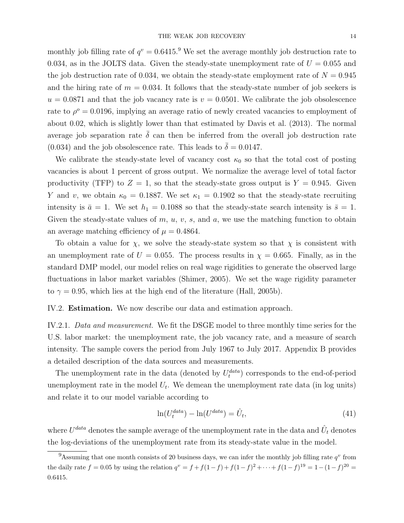monthly job filling rate of  $q^v = 0.6415$ .<sup>9</sup> We set the average monthly job destruction rate to 0.034, as in the JOLTS data. Given the steady-state unemployment rate of  $U = 0.055$  and the job destruction rate of 0.034, we obtain the steady-state employment rate of  $N = 0.945$ and the hiring rate of  $m = 0.034$ . It follows that the steady-state number of job seekers is  $u = 0.0871$  and that the job vacancy rate is  $v = 0.0501$ . We calibrate the job obsolescence rate to  $\rho^o = 0.0196$ , implying an average ratio of newly created vacancies to employment of about 0.02, which is slightly lower than that estimated by Davis et al. (2013). The normal average job separation rate  $\bar{\delta}$  can then be inferred from the overall job destruction rate (0.034) and the job obsolescence rate. This leads to  $\bar{\delta} = 0.0147$ .

We calibrate the steady-state level of vacancy cost  $\kappa_0$  so that the total cost of posting vacancies is about 1 percent of gross output. We normalize the average level of total factor productivity (TFP) to  $Z = 1$ , so that the steady-state gross output is  $Y = 0.945$ . Given Y and v, we obtain  $\kappa_0 = 0.1887$ . We set  $\kappa_1 = 0.1902$  so that the steady-state recruiting intensity is  $\bar{a} = 1$ . We set  $h_1 = 0.1088$  so that the steady-state search intensity is  $\bar{s} = 1$ . Given the steady-state values of  $m, u, v, s$ , and  $a$ , we use the matching function to obtain an average matching efficiency of  $\mu = 0.4864$ .

To obtain a value for  $\chi$ , we solve the steady-state system so that  $\chi$  is consistent with an unemployment rate of  $U = 0.055$ . The process results in  $\chi = 0.665$ . Finally, as in the standard DMP model, our model relies on real wage rigidities to generate the observed large fluctuations in labor market variables (Shimer, 2005). We set the wage rigidity parameter to  $\gamma = 0.95$ , which lies at the high end of the literature (Hall, 2005b).

#### IV.2. Estimation. We now describe our data and estimation approach.

IV.2.1. Data and measurement. We fit the DSGE model to three monthly time series for the U.S. labor market: the unemployment rate, the job vacancy rate, and a measure of search intensity. The sample covers the period from July 1967 to July 2017. Appendix B provides a detailed description of the data sources and measurements.

The unemployment rate in the data (denoted by  $U_t^{data}$ ) corresponds to the end-of-period unemployment rate in the model  $U_t$ . We demean the unemployment rate data (in log units) and relate it to our model variable according to

$$
\ln(U_t^{data}) - \ln(U^{data}) = \hat{U}_t,\tag{41}
$$

where  $U^{data}$  denotes the sample average of the unemployment rate in the data and  $\hat{U}_t$  denotes the log-deviations of the unemployment rate from its steady-state value in the model.

<sup>&</sup>lt;sup>9</sup>Assuming that one month consists of 20 business days, we can infer the monthly job filling rate  $q^v$  from the daily rate  $f = 0.05$  by using the relation  $q^v = f + f(1-f) + f(1-f)^2 + \cdots + f(1-f)^{19} = 1 - (1-f)^{20} =$ 0.6415.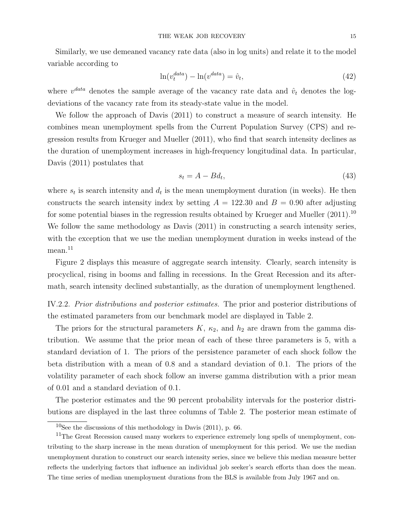Similarly, we use demeaned vacancy rate data (also in log units) and relate it to the model variable according to

$$
\ln(v_t^{data}) - \ln(v^{data}) = \hat{v}_t,\tag{42}
$$

where  $v^{data}$  denotes the sample average of the vacancy rate data and  $\hat{v}_t$  denotes the logdeviations of the vacancy rate from its steady-state value in the model.

We follow the approach of Davis (2011) to construct a measure of search intensity. He combines mean unemployment spells from the Current Population Survey (CPS) and regression results from Krueger and Mueller (2011), who find that search intensity declines as the duration of unemployment increases in high-frequency longitudinal data. In particular, Davis (2011) postulates that

$$
s_t = A - Bd_t,\tag{43}
$$

where  $s_t$  is search intensity and  $d_t$  is the mean unemployment duration (in weeks). He then constructs the search intensity index by setting  $A = 122.30$  and  $B = 0.90$  after adjusting for some potential biases in the regression results obtained by Krueger and Mueller (2011).<sup>10</sup> We follow the same methodology as Davis (2011) in constructing a search intensity series, with the exception that we use the median unemployment duration in weeks instead of the  $mean.<sup>11</sup>$ 

Figure 2 displays this measure of aggregate search intensity. Clearly, search intensity is procyclical, rising in booms and falling in recessions. In the Great Recession and its aftermath, search intensity declined substantially, as the duration of unemployment lengthened.

IV.2.2. Prior distributions and posterior estimates. The prior and posterior distributions of the estimated parameters from our benchmark model are displayed in Table 2.

The priors for the structural parameters  $K$ ,  $\kappa_2$ , and  $h_2$  are drawn from the gamma distribution. We assume that the prior mean of each of these three parameters is 5, with a standard deviation of 1. The priors of the persistence parameter of each shock follow the beta distribution with a mean of 0.8 and a standard deviation of 0.1. The priors of the volatility parameter of each shock follow an inverse gamma distribution with a prior mean of 0.01 and a standard deviation of 0.1.

The posterior estimates and the 90 percent probability intervals for the posterior distributions are displayed in the last three columns of Table 2. The posterior mean estimate of

 $10$ See the discussions of this methodology in Davis (2011), p. 66.

<sup>&</sup>lt;sup>11</sup>The Great Recession caused many workers to experience extremely long spells of unemployment, contributing to the sharp increase in the mean duration of unemployment for this period. We use the median unemployment duration to construct our search intensity series, since we believe this median measure better reflects the underlying factors that influence an individual job seeker's search efforts than does the mean. The time series of median unemployment durations from the BLS is available from July 1967 and on.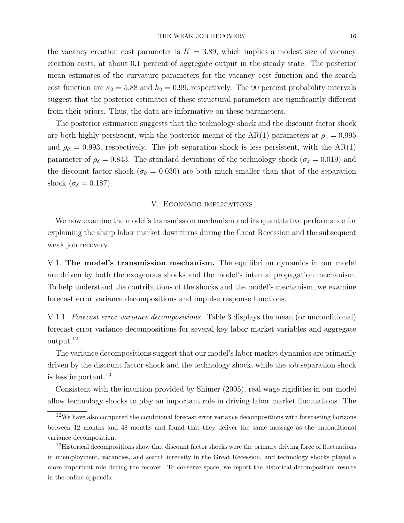mean estimates of the curvature parameters for the vacancy cost function and the search cost function are  $\kappa_2 = 5.88$  and  $h_2 = 0.99$ , respectively. The 90 percent probability intervals suggest that the posterior estimates of these structural parameters are significantly different from their priors. Thus, the data are informative on these parameters.

The posterior estimation suggests that the technology shock and the discount factor shock are both highly persistent, with the posterior means of the AR(1) parameters at  $\rho_z = 0.995$ and  $\rho_{\theta} = 0.993$ , respectively. The job separation shock is less persistent, with the AR(1) parameter of  $\rho_{\delta} = 0.843$ . The standard deviations of the technology shock ( $\sigma_z = 0.019$ ) and the discount factor shock ( $\sigma_{\theta} = 0.030$ ) are both much smaller than that of the separation shock ( $\sigma_{\delta} = 0.187$ ).

### V. Economic implications

We now examine the model's transmission mechanism and its quantitative performance for explaining the sharp labor market downturns during the Great Recession and the subsequent weak job recovery.

V.1. The model's transmission mechanism. The equilibrium dynamics in our model are driven by both the exogenous shocks and the model's internal propagation mechanism. To help understand the contributions of the shocks and the model's mechanism, we examine forecast error variance decompositions and impulse response functions.

V.1.1. Forecast error variance decompositions. Table 3 displays the mean (or unconditional) forecast error variance decompositions for several key labor market variables and aggregate output.<sup>12</sup>

The variance decompositions suggest that our model's labor market dynamics are primarily driven by the discount factor shock and the technology shock, while the job separation shock is less important.<sup>13</sup>

Consistent with the intuition provided by Shimer (2005), real wage rigidities in our model allow technology shocks to play an important role in driving labor market fluctuations. The

<sup>12</sup>We have also computed the conditional forecast error variance decompositions with forecasting horizons between 12 months and 48 months and found that they deliver the same message as the unconditional variance decomposition.

<sup>&</sup>lt;sup>13</sup>Historical decompositions show that discount factor shocks were the primary driving force of fluctuations in unemployment, vacancies, and search intensity in the Great Recession, and technology shocks played a more important role during the recover. To conserve space, we report the historical decomposition results in the online appendix.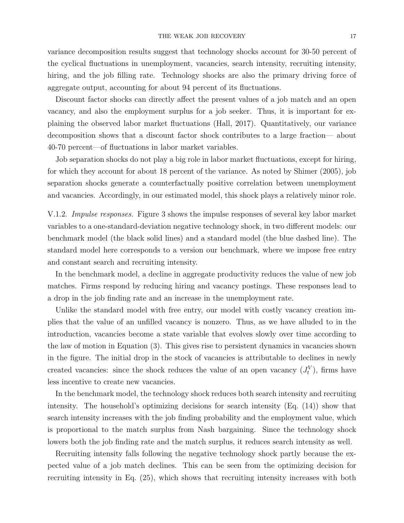variance decomposition results suggest that technology shocks account for 30-50 percent of the cyclical fluctuations in unemployment, vacancies, search intensity, recruiting intensity, hiring, and the job filling rate. Technology shocks are also the primary driving force of aggregate output, accounting for about 94 percent of its fluctuations.

Discount factor shocks can directly affect the present values of a job match and an open vacancy, and also the employment surplus for a job seeker. Thus, it is important for explaining the observed labor market fluctuations (Hall, 2017). Quantitatively, our variance decomposition shows that a discount factor shock contributes to a large fraction— about 40-70 percent—of fluctuations in labor market variables.

Job separation shocks do not play a big role in labor market fluctuations, except for hiring, for which they account for about 18 percent of the variance. As noted by Shimer (2005), job separation shocks generate a counterfactually positive correlation between unemployment and vacancies. Accordingly, in our estimated model, this shock plays a relatively minor role.

V.1.2. Impulse responses. Figure 3 shows the impulse responses of several key labor market variables to a one-standard-deviation negative technology shock, in two different models: our benchmark model (the black solid lines) and a standard model (the blue dashed line). The standard model here corresponds to a version our benchmark, where we impose free entry and constant search and recruiting intensity.

In the benchmark model, a decline in aggregate productivity reduces the value of new job matches. Firms respond by reducing hiring and vacancy postings. These responses lead to a drop in the job finding rate and an increase in the unemployment rate.

Unlike the standard model with free entry, our model with costly vacancy creation implies that the value of an unfilled vacancy is nonzero. Thus, as we have alluded to in the introduction, vacancies become a state variable that evolves slowly over time according to the law of motion in Equation (3). This gives rise to persistent dynamics in vacancies shown in the figure. The initial drop in the stock of vacancies is attributable to declines in newly created vacancies: since the shock reduces the value of an open vacancy  $(J_t^V)$ , firms have less incentive to create new vacancies.

In the benchmark model, the technology shock reduces both search intensity and recruiting intensity. The household's optimizing decisions for search intensity (Eq. (14)) show that search intensity increases with the job finding probability and the employment value, which is proportional to the match surplus from Nash bargaining. Since the technology shock lowers both the job finding rate and the match surplus, it reduces search intensity as well.

Recruiting intensity falls following the negative technology shock partly because the expected value of a job match declines. This can be seen from the optimizing decision for recruiting intensity in Eq. (25), which shows that recruiting intensity increases with both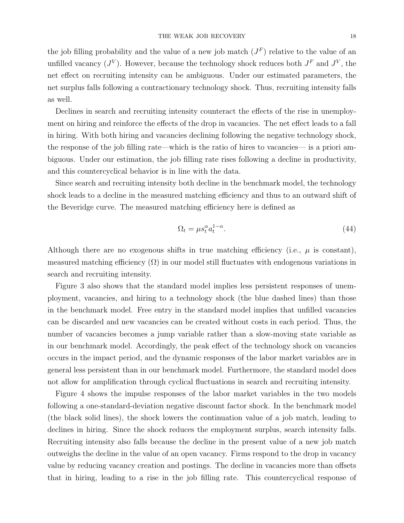the job filling probability and the value of a new job match  $(J^F)$  relative to the value of an unfilled vacancy  $(J^V)$ . However, because the technology shock reduces both  $J^F$  and  $J^V$ , the net effect on recruiting intensity can be ambiguous. Under our estimated parameters, the net surplus falls following a contractionary technology shock. Thus, recruiting intensity falls as well.

Declines in search and recruiting intensity counteract the effects of the rise in unemployment on hiring and reinforce the effects of the drop in vacancies. The net effect leads to a fall in hiring. With both hiring and vacancies declining following the negative technology shock, the response of the job filling rate—which is the ratio of hires to vacancies— is a priori ambiguous. Under our estimation, the job filling rate rises following a decline in productivity, and this countercyclical behavior is in line with the data.

Since search and recruiting intensity both decline in the benchmark model, the technology shock leads to a decline in the measured matching efficiency and thus to an outward shift of the Beveridge curve. The measured matching efficiency here is defined as

$$
\Omega_t = \mu s_t^{\alpha} a_t^{1-\alpha}.\tag{44}
$$

Although there are no exogenous shifts in true matching efficiency (i.e.,  $\mu$  is constant), measured matching efficiency  $(\Omega)$  in our model still fluctuates with endogenous variations in search and recruiting intensity.

Figure 3 also shows that the standard model implies less persistent responses of unemployment, vacancies, and hiring to a technology shock (the blue dashed lines) than those in the benchmark model. Free entry in the standard model implies that unfilled vacancies can be discarded and new vacancies can be created without costs in each period. Thus, the number of vacancies becomes a jump variable rather than a slow-moving state variable as in our benchmark model. Accordingly, the peak effect of the technology shock on vacancies occurs in the impact period, and the dynamic responses of the labor market variables are in general less persistent than in our benchmark model. Furthermore, the standard model does not allow for amplification through cyclical fluctuations in search and recruiting intensity.

Figure 4 shows the impulse responses of the labor market variables in the two models following a one-standard-deviation negative discount factor shock. In the benchmark model (the black solid lines), the shock lowers the continuation value of a job match, leading to declines in hiring. Since the shock reduces the employment surplus, search intensity falls. Recruiting intensity also falls because the decline in the present value of a new job match outweighs the decline in the value of an open vacancy. Firms respond to the drop in vacancy value by reducing vacancy creation and postings. The decline in vacancies more than offsets that in hiring, leading to a rise in the job filling rate. This countercyclical response of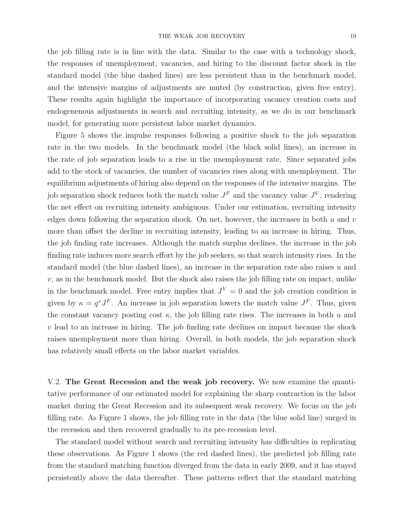the job filling rate is in line with the data. Similar to the case with a technology shock, the responses of unemployment, vacancies, and hiring to the discount factor shock in the standard model (the blue dashed lines) are less persistent than in the benchmark model, and the intensive margins of adjustments are muted (by construction, given free entry). These results again highlight the importance of incorporating vacancy creation costs and endogenenous adjustments in search and recruiting intensity, as we do in our benchmark model, for generating more persistent labor market dynamics.

Figure 5 shows the impulse responses following a positive shock to the job separation rate in the two models. In the benchmark model (the black solid lines), an increase in the rate of job separation leads to a rise in the unemployment rate. Since separated jobs add to the stock of vacancies, the number of vacancies rises along with unemployment. The equilibrium adjustments of hiring also depend on the responses of the intensive margins. The job separation shock reduces both the match value  $J<sup>F</sup>$  and the vacancy value  $J<sup>V</sup>$ , rendering the net effect on recruiting intensity ambiguous. Under our estimation, recruiting intensity edges down following the separation shock. On net, however, the increases in both  $u$  and  $v$ more than offset the decline in recruiting intensity, leading to an increase in hiring. Thus, the job finding rate increases. Although the match surplus declines, the increase in the job finding rate induces more search effort by the job seekers, so that search intensity rises. In the standard model (the blue dashed lines), an increase in the separation rate also raises  $u$  and  $v$ , as in the benchmark model. But the shock also raises the job filling rate on impact, unlike in the benchmark model. Free entry implies that  $J^V = 0$  and the job creation condition is given by  $\kappa = q^v J^F$ . An increase in job separation lowers the match value  $J^F$ . Thus, given the constant vacancy posting cost  $\kappa$ , the job filling rate rises. The increases in both u and  $v$  lead to an increase in hiring. The job finding rate declines on impact because the shock raises unemployment more than hiring. Overall, in both models, the job separation shock has relatively small effects on the labor market variables.

V.2. The Great Recession and the weak job recovery. We now examine the quantitative performance of our estimated model for explaining the sharp contraction in the labor market during the Great Recession and its subsequent weak recovery. We focus on the job filling rate. As Figure 1 shows, the job filling rate in the data (the blue solid line) surged in the recession and then recovered gradually to its pre-recession level.

The standard model without search and recruiting intensity has difficulties in replicating these observations. As Figure 1 shows (the red dashed lines), the predicted job filling rate from the standard matching function diverged from the data in early 2009, and it has stayed persistently above the data thereafter. These patterns reflect that the standard matching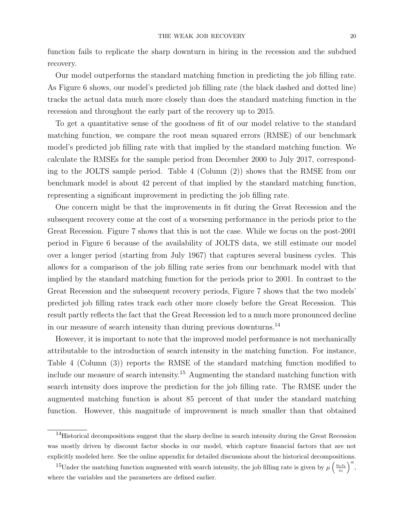function fails to replicate the sharp downturn in hiring in the recession and the subdued recovery.

Our model outperforms the standard matching function in predicting the job filling rate. As Figure 6 shows, our model's predicted job filling rate (the black dashed and dotted line) tracks the actual data much more closely than does the standard matching function in the recession and throughout the early part of the recovery up to 2015.

To get a quantitative sense of the goodness of fit of our model relative to the standard matching function, we compare the root mean squared errors (RMSE) of our benchmark model's predicted job filling rate with that implied by the standard matching function. We calculate the RMSEs for the sample period from December 2000 to July 2017, corresponding to the JOLTS sample period. Table 4 (Column (2)) shows that the RMSE from our benchmark model is about 42 percent of that implied by the standard matching function, representing a significant improvement in predicting the job filling rate.

One concern might be that the improvements in fit during the Great Recession and the subsequent recovery come at the cost of a worsening performance in the periods prior to the Great Recession. Figure 7 shows that this is not the case. While we focus on the post-2001 period in Figure 6 because of the availability of JOLTS data, we still estimate our model over a longer period (starting from July 1967) that captures several business cycles. This allows for a comparison of the job filling rate series from our benchmark model with that implied by the standard matching function for the periods prior to 2001. In contrast to the Great Recession and the subsequent recovery periods, Figure 7 shows that the two models' predicted job filling rates track each other more closely before the Great Recession. This result partly reflects the fact that the Great Recession led to a much more pronounced decline in our measure of search intensity than during previous downturns.<sup>14</sup>

However, it is important to note that the improved model performance is not mechanically attributable to the introduction of search intensity in the matching function. For instance, Table 4 (Column (3)) reports the RMSE of the standard matching function modified to include our measure of search intensity.<sup>15</sup> Augmenting the standard matching function with search intensity does improve the prediction for the job filling rate. The RMSE under the augmented matching function is about 85 percent of that under the standard matching function. However, this magnitude of improvement is much smaller than that obtained

<sup>&</sup>lt;sup>14</sup>Historical decompositions suggest that the sharp decline in search intensity during the Great Recession was mostly driven by discount factor shocks in our model, which capture financial factors that are not explicitly modeled here. See the online appendix for detailed discussions about the historical decompositions.

<sup>&</sup>lt;sup>15</sup>Under the matching function augmented with search intensity, the job filling rate is given by  $\mu\left(\frac{u_t s_t}{v_t}\right)^{\alpha}$ , where the variables and the parameters are defined earlier.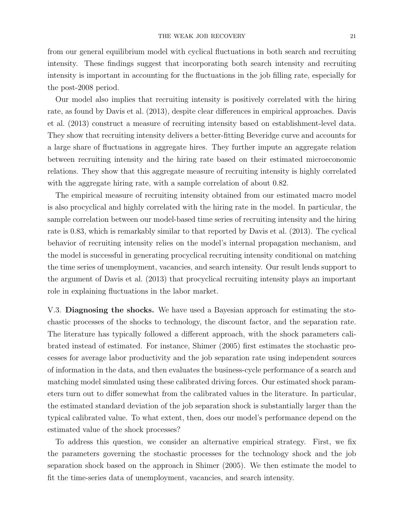from our general equilibrium model with cyclical fluctuations in both search and recruiting intensity. These findings suggest that incorporating both search intensity and recruiting intensity is important in accounting for the fluctuations in the job filling rate, especially for the post-2008 period.

Our model also implies that recruiting intensity is positively correlated with the hiring rate, as found by Davis et al. (2013), despite clear differences in empirical approaches. Davis et al. (2013) construct a measure of recruiting intensity based on establishment-level data. They show that recruiting intensity delivers a better-fitting Beveridge curve and accounts for a large share of fluctuations in aggregate hires. They further impute an aggregate relation between recruiting intensity and the hiring rate based on their estimated microeconomic relations. They show that this aggregate measure of recruiting intensity is highly correlated with the aggregate hiring rate, with a sample correlation of about 0.82.

The empirical measure of recruiting intensity obtained from our estimated macro model is also procyclical and highly correlated with the hiring rate in the model. In particular, the sample correlation between our model-based time series of recruiting intensity and the hiring rate is 0.83, which is remarkably similar to that reported by Davis et al. (2013). The cyclical behavior of recruiting intensity relies on the model's internal propagation mechanism, and the model is successful in generating procyclical recruiting intensity conditional on matching the time series of unemployment, vacancies, and search intensity. Our result lends support to the argument of Davis et al. (2013) that procyclical recruiting intensity plays an important role in explaining fluctuations in the labor market.

V.3. Diagnosing the shocks. We have used a Bayesian approach for estimating the stochastic processes of the shocks to technology, the discount factor, and the separation rate. The literature has typically followed a different approach, with the shock parameters calibrated instead of estimated. For instance, Shimer (2005) first estimates the stochastic processes for average labor productivity and the job separation rate using independent sources of information in the data, and then evaluates the business-cycle performance of a search and matching model simulated using these calibrated driving forces. Our estimated shock parameters turn out to differ somewhat from the calibrated values in the literature. In particular, the estimated standard deviation of the job separation shock is substantially larger than the typical calibrated value. To what extent, then, does our model's performance depend on the estimated value of the shock processes?

To address this question, we consider an alternative empirical strategy. First, we fix the parameters governing the stochastic processes for the technology shock and the job separation shock based on the approach in Shimer (2005). We then estimate the model to fit the time-series data of unemployment, vacancies, and search intensity.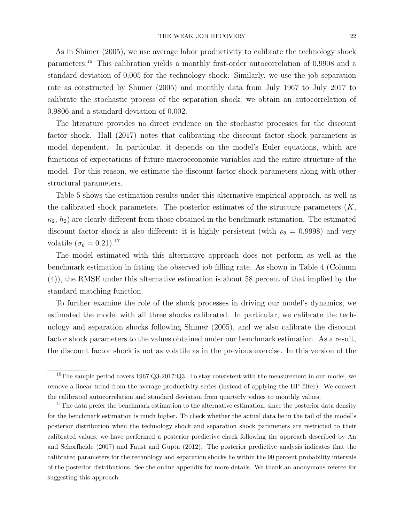As in Shimer (2005), we use average labor productivity to calibrate the technology shock parameters.<sup>16</sup> This calibration yields a monthly first-order autocorrelation of 0.9908 and a standard deviation of 0.005 for the technology shock. Similarly, we use the job separation rate as constructed by Shimer (2005) and monthly data from July 1967 to July 2017 to calibrate the stochastic process of the separation shock; we obtain an autocorrelation of 0.9806 and a standard deviation of 0.002.

The literature provides no direct evidence on the stochastic processes for the discount factor shock. Hall (2017) notes that calibrating the discount factor shock parameters is model dependent. In particular, it depends on the model's Euler equations, which are functions of expectations of future macroeconomic variables and the entire structure of the model. For this reason, we estimate the discount factor shock parameters along with other structural parameters.

Table 5 shows the estimation results under this alternative empirical approach, as well as the calibrated shock parameters. The posterior estimates of the structure parameters  $(K,$  $\kappa_2$ ,  $h_2$ ) are clearly different from those obtained in the benchmark estimation. The estimated discount factor shock is also different: it is highly persistent (with  $\rho_{\theta} = 0.9998$ ) and very volatile  $(\sigma_{\theta} = 0.21).^{17}$ 

The model estimated with this alternative approach does not perform as well as the benchmark estimation in fitting the observed job filling rate. As shown in Table 4 (Column (4)), the RMSE under this alternative estimation is about 58 percent of that implied by the standard matching function.

To further examine the role of the shock processes in driving our model's dynamics, we estimated the model with all three shocks calibrated. In particular, we calibrate the technology and separation shocks following Shimer (2005), and we also calibrate the discount factor shock parameters to the values obtained under our benchmark estimation. As a result, the discount factor shock is not as volatile as in the previous exercise. In this version of the

 $16$ The sample period covers 1967:Q3-2017:Q3. To stay consistent with the measurement in our model, we remove a linear trend from the average productivity series (instead of applying the HP filter). We convert the calibrated autocorrelation and standard deviation from quarterly values to monthly values.

 $17$ The data prefer the benchmark estimation to the alternative estimation, since the posterior data density for the benchmark estimation is much higher. To check whether the actual data lie in the tail of the model's posterior distribution when the technology shock and separation shock parameters are restricted to their calibrated values, we have performed a posterior predictive check following the approach described by An and Schorfheide (2007) and Faust and Gupta (2012). The posterior predictive analysis indicates that the calibrated parameters for the technology and separation shocks lie within the 90 percent probability intervals of the posterior distributions. See the online appendix for more details. We thank an anonymous referee for suggesting this approach.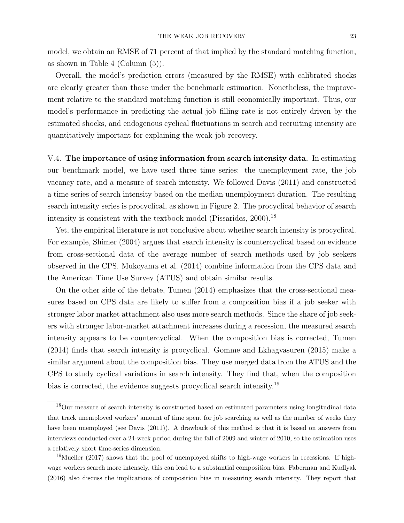model, we obtain an RMSE of 71 percent of that implied by the standard matching function, as shown in Table 4 (Column (5)).

Overall, the model's prediction errors (measured by the RMSE) with calibrated shocks are clearly greater than those under the benchmark estimation. Nonetheless, the improvement relative to the standard matching function is still economically important. Thus, our model's performance in predicting the actual job filling rate is not entirely driven by the estimated shocks, and endogenous cyclical fluctuations in search and recruiting intensity are quantitatively important for explaining the weak job recovery.

V.4. The importance of using information from search intensity data. In estimating our benchmark model, we have used three time series: the unemployment rate, the job vacancy rate, and a measure of search intensity. We followed Davis (2011) and constructed a time series of search intensity based on the median unemployment duration. The resulting search intensity series is procyclical, as shown in Figure 2. The procyclical behavior of search intensity is consistent with the textbook model (Pissarides,  $2000$ ).<sup>18</sup>

Yet, the empirical literature is not conclusive about whether search intensity is procyclical. For example, Shimer (2004) argues that search intensity is countercyclical based on evidence from cross-sectional data of the average number of search methods used by job seekers observed in the CPS. Mukoyama et al. (2014) combine information from the CPS data and the American Time Use Survey (ATUS) and obtain similar results.

On the other side of the debate, Tumen (2014) emphasizes that the cross-sectional measures based on CPS data are likely to suffer from a composition bias if a job seeker with stronger labor market attachment also uses more search methods. Since the share of job seekers with stronger labor-market attachment increases during a recession, the measured search intensity appears to be countercyclical. When the composition bias is corrected, Tumen (2014) finds that search intensity is procyclical. Gomme and Lkhagvasuren (2015) make a similar argument about the composition bias. They use merged data from the ATUS and the CPS to study cyclical variations in search intensity. They find that, when the composition bias is corrected, the evidence suggests procyclical search intensity.<sup>19</sup>

<sup>18</sup>Our measure of search intensity is constructed based on estimated parameters using longitudinal data that track unemployed workers' amount of time spent for job searching as well as the number of weeks they have been unemployed (see Davis (2011)). A drawback of this method is that it is based on answers from interviews conducted over a 24-week period during the fall of 2009 and winter of 2010, so the estimation uses a relatively short time-series dimension.

 $19$ Mueller (2017) shows that the pool of unemployed shifts to high-wage workers in recessions. If highwage workers search more intensely, this can lead to a substantial composition bias. Faberman and Kudlyak (2016) also discuss the implications of composition bias in measuring search intensity. They report that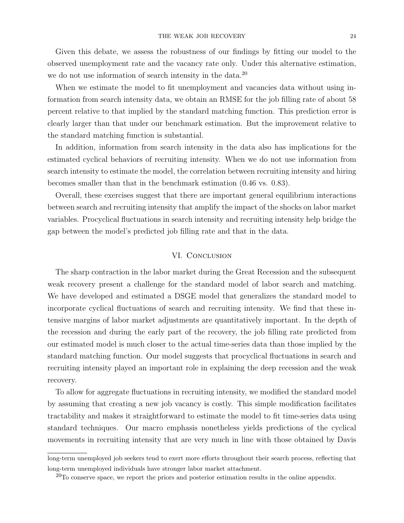Given this debate, we assess the robustness of our findings by fitting our model to the observed unemployment rate and the vacancy rate only. Under this alternative estimation, we do not use information of search intensity in the data.<sup>20</sup>

When we estimate the model to fit unemployment and vacancies data without using information from search intensity data, we obtain an RMSE for the job filling rate of about 58 percent relative to that implied by the standard matching function. This prediction error is clearly larger than that under our benchmark estimation. But the improvement relative to the standard matching function is substantial.

In addition, information from search intensity in the data also has implications for the estimated cyclical behaviors of recruiting intensity. When we do not use information from search intensity to estimate the model, the correlation between recruiting intensity and hiring becomes smaller than that in the benchmark estimation (0.46 vs. 0.83).

Overall, these exercises suggest that there are important general equilibrium interactions between search and recruiting intensity that amplify the impact of the shocks on labor market variables. Procyclical fluctuations in search intensity and recruiting intensity help bridge the gap between the model's predicted job filling rate and that in the data.

### VI. Conclusion

The sharp contraction in the labor market during the Great Recession and the subsequent weak recovery present a challenge for the standard model of labor search and matching. We have developed and estimated a DSGE model that generalizes the standard model to incorporate cyclical fluctuations of search and recruiting intensity. We find that these intensive margins of labor market adjustments are quantitatively important. In the depth of the recession and during the early part of the recovery, the job filling rate predicted from our estimated model is much closer to the actual time-series data than those implied by the standard matching function. Our model suggests that procyclical fluctuations in search and recruiting intensity played an important role in explaining the deep recession and the weak recovery.

To allow for aggregate fluctuations in recruiting intensity, we modified the standard model by assuming that creating a new job vacancy is costly. This simple modification facilitates tractability and makes it straightforward to estimate the model to fit time-series data using standard techniques. Our macro emphasis nonetheless yields predictions of the cyclical movements in recruiting intensity that are very much in line with those obtained by Davis

long-term unemployed job seekers tend to exert more efforts throughout their search process, reflecting that long-term unemployed individuals have stronger labor market attachment.

 $20$ To conserve space, we report the priors and posterior estimation results in the online appendix.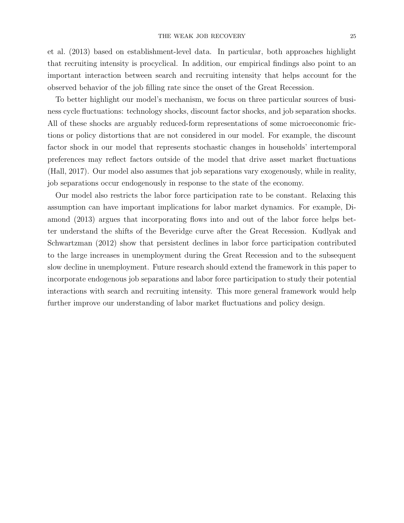et al. (2013) based on establishment-level data. In particular, both approaches highlight that recruiting intensity is procyclical. In addition, our empirical findings also point to an important interaction between search and recruiting intensity that helps account for the observed behavior of the job filling rate since the onset of the Great Recession.

To better highlight our model's mechanism, we focus on three particular sources of business cycle fluctuations: technology shocks, discount factor shocks, and job separation shocks. All of these shocks are arguably reduced-form representations of some microeconomic frictions or policy distortions that are not considered in our model. For example, the discount factor shock in our model that represents stochastic changes in households' intertemporal preferences may reflect factors outside of the model that drive asset market fluctuations (Hall, 2017). Our model also assumes that job separations vary exogenously, while in reality, job separations occur endogenously in response to the state of the economy.

Our model also restricts the labor force participation rate to be constant. Relaxing this assumption can have important implications for labor market dynamics. For example, Diamond (2013) argues that incorporating flows into and out of the labor force helps better understand the shifts of the Beveridge curve after the Great Recession. Kudlyak and Schwartzman (2012) show that persistent declines in labor force participation contributed to the large increases in unemployment during the Great Recession and to the subsequent slow decline in unemployment. Future research should extend the framework in this paper to incorporate endogenous job separations and labor force participation to study their potential interactions with search and recruiting intensity. This more general framework would help further improve our understanding of labor market fluctuations and policy design.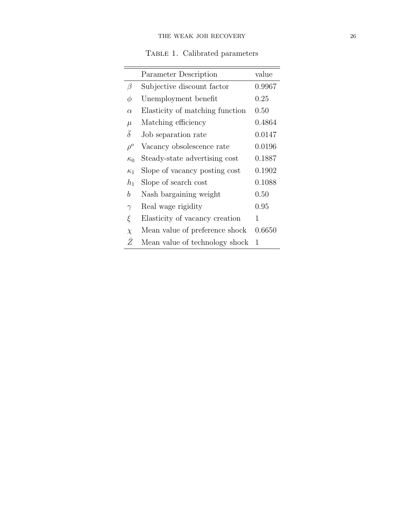TABLE 1. Calibrated parameters

|                     | Parameter Description           | value  |
|---------------------|---------------------------------|--------|
| β                   | Subjective discount factor      | 0.9967 |
| φ                   | Unemployment benefit            | 0.25   |
| $\alpha$            | Elasticity of matching function | 0.50   |
| $\mu$               | Matching efficiency             | 0.4864 |
| $\overline{\delta}$ | Job separation rate             | 0.0147 |
| $\rho^o$            | Vacancy obsolescence rate       | 0.0196 |
| $\kappa_0$          | Steady-state advertising cost   | 0.1887 |
| $\kappa_1$          | Slope of vacancy posting cost   | 0.1902 |
| $h_1$               | Slope of search cost            | 0.1088 |
| b                   | Nash bargaining weight          | 0.50   |
| $\gamma$            | Real wage rigidity              | 0.95   |
| ξ                   | Elasticity of vacancy creation  | 1      |
| $\chi$              | Mean value of preference shock  | 0.6650 |
| Ž                   | Mean value of technology shock  | 1      |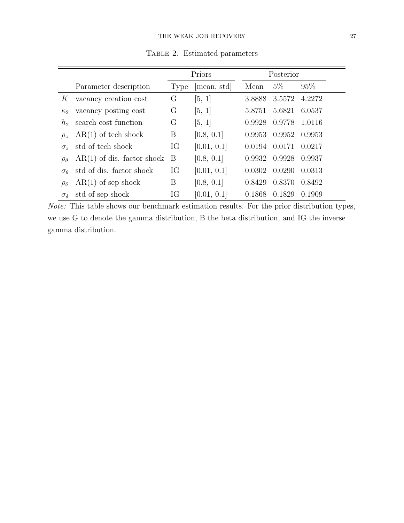|                                         |                              | Priors |             |        | Posterior     |        |  |
|-----------------------------------------|------------------------------|--------|-------------|--------|---------------|--------|--|
|                                         | Parameter description        | Type   | mean, std   | Mean   | $5\%$         | 95%    |  |
| K                                       | vacancy creation cost        | G      | [5, 1]      | 3.8888 | 3.5572        | 4.2272 |  |
| $\kappa_2$                              | vacancy posting cost         | G      | [5, 1]      | 5.8751 | 5.6821        | 6.0537 |  |
| $h_{\mathcal{D}}$                       | search cost function         | G      | [5, 1]      | 0.9928 | 0.9778        | 1.0116 |  |
| $\rho_z$                                | $AR(1)$ of tech shock        | B      | [0.8, 0.1]  |        | 0.9953 0.9952 | 0.9953 |  |
| $\sigma_{\gamma}$                       | std of tech shock            | IG     | [0.01, 0.1] | 0.0194 | 0.0171        | 0.0217 |  |
| $\rho_{\theta}$                         | $AR(1)$ of dis. factor shock | B      | [0.8, 0.1]  | 0.9932 | 0.9928        | 0.9937 |  |
| $\sigma$ <sup><math>\alpha</math></sup> | std of dis. factor shock     | IG     | [0.01, 0.1] | 0.0302 | 0.0290        | 0.0313 |  |
| $\rho_{\delta}$                         | $AR(1)$ of sep shock         | Β      | [0.8, 0.1]  | 0.8429 | 0.8370        | 0.8492 |  |
| $\sigma_{\delta}$                       | std of sep shock             | IG     | [0.01, 0.1] | 0.1868 | 0.1829        | 0.1909 |  |

TABLE 2. Estimated parameters

 $Note:$  This table shows our benchmark estimation results. For the prior distribution types, we use G to denote the gamma distribution, B the beta distribution, and IG the inverse gamma distribution.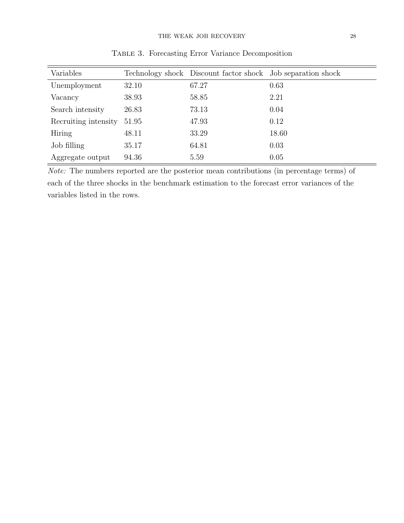| Variables            |       | Technology shock Discount factor shock Job separation shock |       |
|----------------------|-------|-------------------------------------------------------------|-------|
| Unemployment         | 32.10 | 67.27                                                       | 0.63  |
| Vacancy              | 38.93 | 58.85                                                       | 2.21  |
| Search intensity     | 26.83 | 73.13                                                       | 0.04  |
| Recruiting intensity | 51.95 | 47.93                                                       | 0.12  |
| Hiring               | 48.11 | 33.29                                                       | 18.60 |
| Job filling          | 35.17 | 64.81                                                       | 0.03  |
| Aggregate output     | 94.36 | 5.59                                                        | 0.05  |

Table 3. Forecasting Error Variance Decomposition

Note: The numbers reported are the posterior mean contributions (in percentage terms) of each of the three shocks in the benchmark estimation to the forecast error variances of the variables listed in the rows.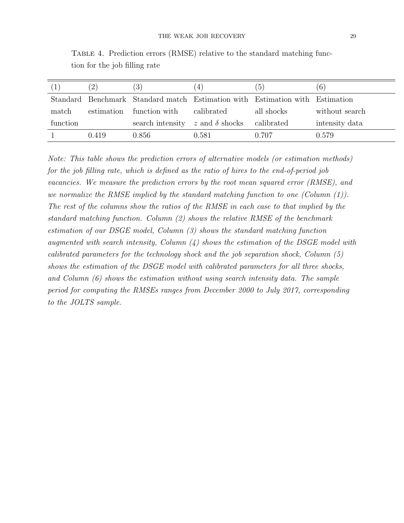|          |            | (3)                                      | $\left(4\right)$ | $\sigma$                                                                     | $\left(6\right)$ |
|----------|------------|------------------------------------------|------------------|------------------------------------------------------------------------------|------------------|
|          |            |                                          |                  | Standard Benchmark Standard match Estimation with Estimation with Estimation |                  |
| match    | estimation | function with                            | calibrated       | all shocks                                                                   | without search   |
| function |            | search intensity $z$ and $\delta$ shocks |                  | calibrated                                                                   | intensity data   |
|          | 0.419      | 0.856                                    | 0.581            | 0.707                                                                        | 0.579            |

Table 4. Prediction errors (RMSE) relative to the standard matching function for the job filling rate

Note: This table shows the prediction errors of alternative models (or estimation methods) for the job filling rate, which is defined as the ratio of hires to the end-of-period job vacancies. We measure the prediction errors by the root mean squared error (RMSE), and we normalize the RMSE implied by the standard matching function to one (Column (1)). The rest of the columns show the ratios of the RMSE in each case to that implied by the standard matching function. Column (2) shows the relative RMSE of the benchmark estimation of our DSGE model, Column (3) shows the standard matching function augmented with search intensity, Column  $(4)$  shows the estimation of the DSGE model with calibrated parameters for the technology shock and the job separation shock, Column  $(5)$ shows the estimation of the DSGE model with calibrated parameters for all three shocks, and Column  $(6)$  shows the estimation without using search intensity data. The sample period for computing the RMSEs ranges from December 2000 to July 2017, corresponding to the JOLTS sample.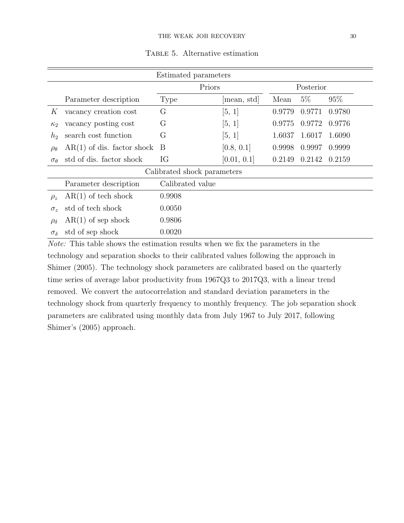| Estimated parameters        |                              |                  |             |        |        |        |  |  |
|-----------------------------|------------------------------|------------------|-------------|--------|--------|--------|--|--|
|                             |                              | Priors           | Posterior   |        |        |        |  |  |
|                             | Parameter description        | <b>Type</b>      | mean, std   | Mean   | $5\%$  | 95%    |  |  |
| K                           | vacancy creation cost        | G                | [5, 1]      | 0.9779 | 0.9771 | 0.9780 |  |  |
| $\kappa_2$                  | vacancy posting cost         | G                | [5, 1]      | 0.9775 | 0.9772 | 0.9776 |  |  |
| h <sub>2</sub>              | search cost function         | G                | [5, 1]      | 1.6037 | 1.6017 | 1.6090 |  |  |
| $\rho_{\theta}$             | $AR(1)$ of dis. factor shock | B                | [0.8, 0.1]  | 0.9998 | 0.9997 | 0.9999 |  |  |
| $\sigma_{\theta}$           | std of dis. factor shock     | IG               | [0.01, 0.1] | 0.2149 | 0.2142 | 0.2159 |  |  |
| Calibrated shock parameters |                              |                  |             |        |        |        |  |  |
|                             | Parameter description        | Calibrated value |             |        |        |        |  |  |
| $\rho_z$                    | $AR(1)$ of tech shock        | 0.9908           |             |        |        |        |  |  |
| $\sigma_z$                  | std of tech shock            | 0.0050           |             |        |        |        |  |  |
| $\rho_{\delta}$             | $AR(1)$ of sep shock         | 0.9806           |             |        |        |        |  |  |
| $\sigma_{\delta}$           | std of sep shock             | 0.0020           |             |        |        |        |  |  |

Table 5. Alternative estimation

Note: This table shows the estimation results when we fix the parameters in the technology and separation shocks to their calibrated values following the approach in Shimer (2005). The technology shock parameters are calibrated based on the quarterly time series of average labor productivity from 1967Q3 to 2017Q3, with a linear trend removed. We convert the autocorrelation and standard deviation parameters in the technology shock from quarterly frequency to monthly frequency. The job separation shock parameters are calibrated using monthly data from July 1967 to July 2017, following Shimer's (2005) approach.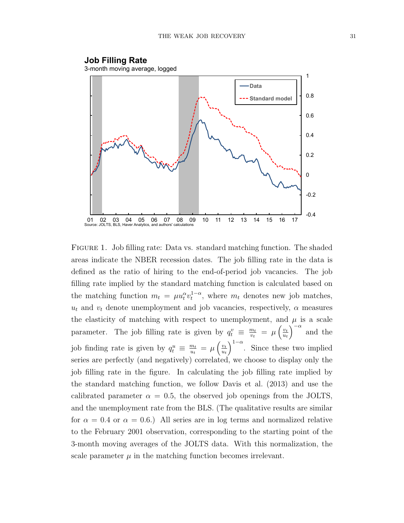

Figure 1. Job filling rate: Data vs. standard matching function. The shaded areas indicate the NBER recession dates. The job filling rate in the data is defined as the ratio of hiring to the end-of-period job vacancies. The job filling rate implied by the standard matching function is calculated based on the matching function  $m_t = \mu u_t^{\alpha} v_t^{1-\alpha}$ , where  $m_t$  denotes new job matches,  $u_t$  and  $v_t$  denote unemployment and job vacancies, respectively,  $\alpha$  measures the elasticity of matching with respect to unemployment, and  $\mu$  is a scale parameter. The job filling rate is given by  $q_t^v \equiv \frac{m_t}{v_t}$  $\frac{m_t}{v_t} = \mu \left( \frac{v_t}{u_t} \right)$  $u_t$  $\int_{0}^{\infty}$  and the job finding rate is given by  $q_t^u \equiv \frac{m_t}{u_t}$  $\frac{m_t}{u_t} = \mu \left( \frac{v_t}{u_t} \right)$  $u_t$  $\int_{0}^{1-\alpha}$ . Since these two implied series are perfectly (and negatively) correlated, we choose to display only the job filling rate in the figure. In calculating the job filling rate implied by the standard matching function, we follow Davis et al. (2013) and use the calibrated parameter  $\alpha = 0.5$ , the observed job openings from the JOLTS, and the unemployment rate from the BLS. (The qualitative results are similar for  $\alpha = 0.4$  or  $\alpha = 0.6$ .) All series are in log terms and normalized relative to the February 2001 observation, corresponding to the starting point of the 3-month moving averages of the JOLTS data. With this normalization, the scale parameter  $\mu$  in the matching function becomes irrelevant.

3-month moving average, logged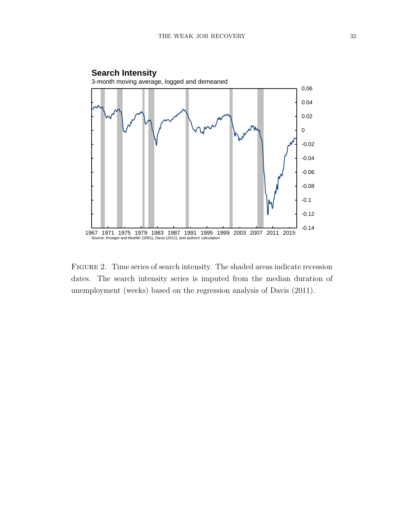

Figure 2. Time series of search intensity. The shaded areas indicate recession dates. The search intensity series is imputed from the median duration of unemployment (weeks) based on the regression analysis of Davis (2011).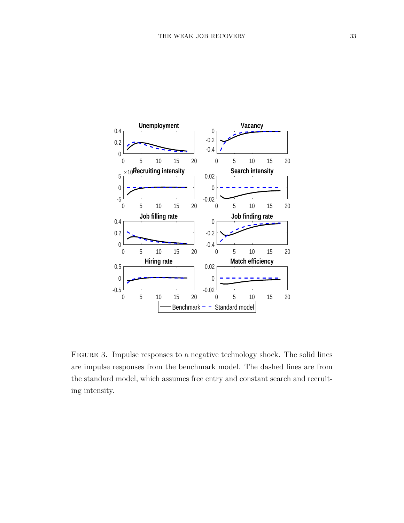

Figure 3. Impulse responses to a negative technology shock. The solid lines are impulse responses from the benchmark model. The dashed lines are from the standard model, which assumes free entry and constant search and recruiting intensity.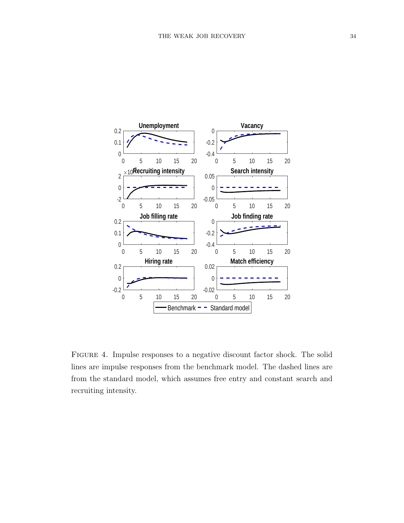

Figure 4. Impulse responses to a negative discount factor shock. The solid lines are impulse responses from the benchmark model. The dashed lines are from the standard model, which assumes free entry and constant search and recruiting intensity.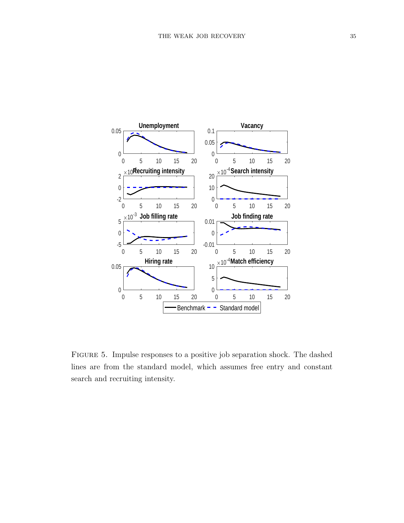

Figure 5. Impulse responses to a positive job separation shock. The dashed lines are from the standard model, which assumes free entry and constant search and recruiting intensity.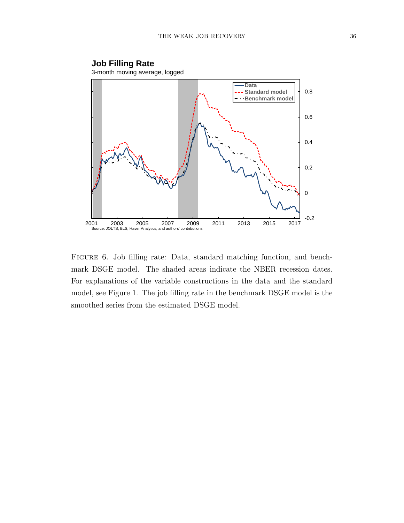

Figure 6. Job filling rate: Data, standard matching function, and benchmark DSGE model. The shaded areas indicate the NBER recession dates. For explanations of the variable constructions in the data and the standard model, see Figure 1. The job filling rate in the benchmark DSGE model is the smoothed series from the estimated DSGE model.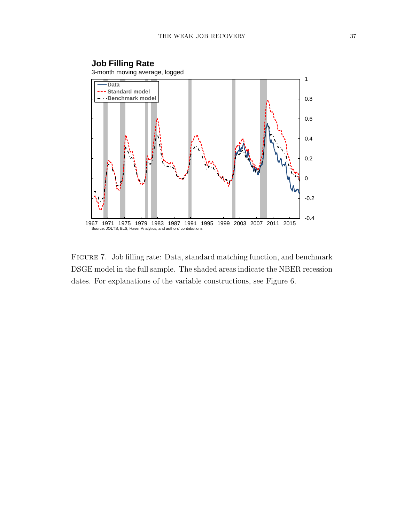

Figure 7. Job filling rate: Data, standard matching function, and benchmark DSGE model in the full sample. The shaded areas indicate the NBER recession dates. For explanations of the variable constructions, see Figure 6.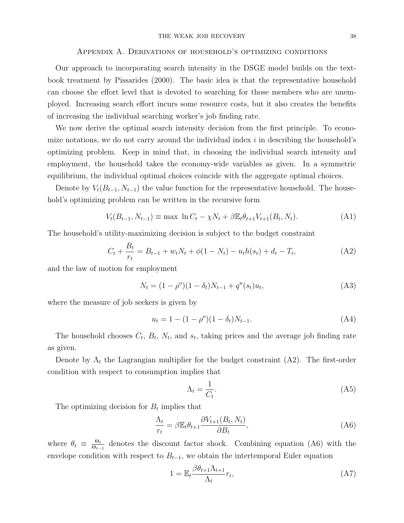#### THE WEAK JOB RECOVERY 38

#### Appendix A. Derivations of household's optimizing conditions

Our approach to incorporating search intensity in the DSGE model builds on the textbook treatment by Pissarides (2000). The basic idea is that the representative household can choose the effort level that is devoted to searching for those members who are unemployed. Increasing search effort incurs some resource costs, but it also creates the benefits of increasing the individual searching worker's job finding rate.

We now derive the optimal search intensity decision from the first principle. To economize notations, we do not carry around the individual index  $i$  in describing the household's optimizing problem. Keep in mind that, in choosing the individual search intensity and employment, the household takes the economy-wide variables as given. In a symmetric equilibrium, the individual optimal choices coincide with the aggregate optimal choices.

Denote by  $V_t(B_{t-1}, N_{t-1})$  the value function for the representative household. The household's optimizing problem can be written in the recursive form

$$
V_t(B_{t-1}, N_{t-1}) \equiv \max \ln C_t - \chi N_t + \beta \mathbb{E}_t \theta_{t+1} V_{t+1}(B_t, N_t). \tag{A1}
$$

The household's utility-maximizing decision is subject to the budget constraint

$$
C_t + \frac{B_t}{r_t} = B_{t-1} + w_t N_t + \phi(1 - N_t) - u_t h(s_t) + d_t - T_t,
$$
\n(A2)

and the law of motion for employment

$$
N_t = (1 - \rho^o)(1 - \delta_t)N_{t-1} + q^u(s_t)u_t,
$$
\n(A3)

where the measure of job seekers is given by

$$
u_t = 1 - (1 - \rho^o)(1 - \delta_t)N_{t-1}.
$$
\n(A4)

The household chooses  $C_t$ ,  $B_t$ ,  $N_t$ , and  $s_t$ , taking prices and the average job finding rate as given.

Denote by  $\Lambda_t$  the Lagrangian multiplier for the budget constraint (A2). The first-order condition with respect to consumption implies that

$$
\Lambda_t = \frac{1}{C_t}.\tag{A5}
$$

The optimizing decision for  $B_t$  implies that

$$
\frac{\Lambda_t}{r_t} = \beta \mathbb{E}_t \theta_{t+1} \frac{\partial V_{t+1}(B_t, N_t)}{\partial B_t},
$$
\n(A6)

where  $\theta_t \equiv \frac{\Theta_t}{\Theta_t}$  $\frac{\Theta_t}{\Theta_{t-1}}$  denotes the discount factor shock. Combining equation (A6) with the envelope condition with respect to  $B_{t-1}$ , we obtain the intertemporal Euler equation

$$
1 = \mathbb{E}_t \frac{\beta \theta_{t+1} \Lambda_{t+1}}{\Lambda_t} r_t,\tag{A7}
$$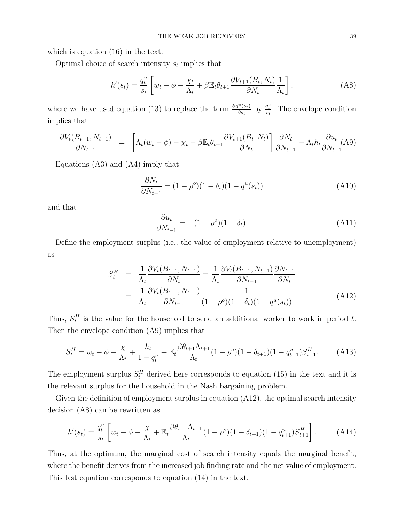which is equation (16) in the text.

Optimal choice of search intensity  $s_t$  implies that

$$
h'(s_t) = \frac{q_t^u}{s_t} \left[ w_t - \phi - \frac{\chi_t}{\Lambda_t} + \beta \mathbb{E}_t \theta_{t+1} \frac{\partial V_{t+1}(B_t, N_t)}{\partial N_t} \frac{1}{\Lambda_t} \right],
$$
 (A8)

where we have used equation (13) to replace the term  $\frac{\partial q^u(s_t)}{\partial s_t}$  by  $\frac{q^u_t}{s_t}$ . The envelope condition implies that

$$
\frac{\partial V_t(B_{t-1}, N_{t-1})}{\partial N_{t-1}} = \left[ \Lambda_t(w_t - \phi) - \chi_t + \beta \mathbb{E}_t \theta_{t+1} \frac{\partial V_{t+1}(B_t, N_t)}{\partial N_t} \right] \frac{\partial N_t}{\partial N_{t-1}} - \Lambda_t h_t \frac{\partial u_t}{\partial N_{t-1}}(\mathbf{A}9)
$$

Equations (A3) and (A4) imply that

$$
\frac{\partial N_t}{\partial N_{t-1}} = (1 - \rho^o)(1 - \delta_t)(1 - q^u(s_t))
$$
\n(A10)

and that

$$
\frac{\partial u_t}{\partial N_{t-1}} = -(1 - \rho^o)(1 - \delta_t). \tag{A11}
$$

Define the employment surplus (i.e., the value of employment relative to unemployment) as

$$
S_t^H = \frac{1}{\Lambda_t} \frac{\partial V_t(B_{t-1}, N_{t-1})}{\partial N_t} = \frac{1}{\Lambda_t} \frac{\partial V_t(B_{t-1}, N_{t-1})}{\partial N_{t-1}} \frac{\partial N_{t-1}}{\partial N_t}
$$
  
= 
$$
\frac{1}{\Lambda_t} \frac{\partial V_t(B_{t-1}, N_{t-1})}{\partial N_{t-1}} \frac{1}{(1 - \rho^o)(1 - \delta_t)(1 - q^u(s_t))}.
$$
 (A12)

Thus,  $S_t^H$  is the value for the household to send an additional worker to work in period t. Then the envelope condition (A9) implies that

$$
S_t^H = w_t - \phi - \frac{\chi}{\Lambda_t} + \frac{h_t}{1 - q_t^u} + \mathbb{E}_t \frac{\beta \theta_{t+1} \Lambda_{t+1}}{\Lambda_t} (1 - \rho^o)(1 - \delta_{t+1})(1 - q_{t+1}^u) S_{t+1}^H. \tag{A13}
$$

The employment surplus  $S_t^H$  derived here corresponds to equation (15) in the text and it is the relevant surplus for the household in the Nash bargaining problem.

Given the definition of employment surplus in equation (A12), the optimal search intensity decision (A8) can be rewritten as

$$
h'(s_t) = \frac{q_t^u}{s_t} \left[ w_t - \phi - \frac{\chi}{\Lambda_t} + \mathbb{E}_t \frac{\beta \theta_{t+1} \Lambda_{t+1}}{\Lambda_t} (1 - \rho^o)(1 - \delta_{t+1})(1 - q_{t+1}^u) S_{t+1}^H \right]. \tag{A14}
$$

Thus, at the optimum, the marginal cost of search intensity equals the marginal benefit, where the benefit derives from the increased job finding rate and the net value of employment. This last equation corresponds to equation (14) in the text.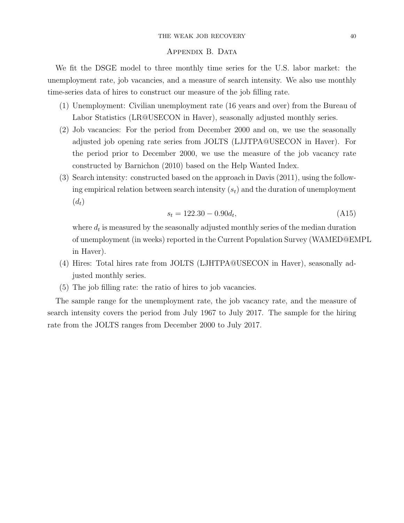### APPENDIX B. DATA

We fit the DSGE model to three monthly time series for the U.S. labor market: the unemployment rate, job vacancies, and a measure of search intensity. We also use monthly time-series data of hires to construct our measure of the job filling rate.

- (1) Unemployment: Civilian unemployment rate (16 years and over) from the Bureau of Labor Statistics (LR@USECON in Haver), seasonally adjusted monthly series.
- (2) Job vacancies: For the period from December 2000 and on, we use the seasonally adjusted job opening rate series from JOLTS (LJJTPA@USECON in Haver). For the period prior to December 2000, we use the measure of the job vacancy rate constructed by Barnichon (2010) based on the Help Wanted Index.
- (3) Search intensity: constructed based on the approach in Davis (2011), using the following empirical relation between search intensity  $(s_t)$  and the duration of unemployment  $(d_t)$

$$
s_t = 122.30 - 0.90d_t,\tag{A15}
$$

where  $d_t$  is measured by the seasonally adjusted monthly series of the median duration of unemployment (in weeks) reported in the Current Population Survey (WAMED@EMPL in Haver).

- (4) Hires: Total hires rate from JOLTS (LJHTPA@USECON in Haver), seasonally adjusted monthly series.
- (5) The job filling rate: the ratio of hires to job vacancies.

The sample range for the unemployment rate, the job vacancy rate, and the measure of search intensity covers the period from July 1967 to July 2017. The sample for the hiring rate from the JOLTS ranges from December 2000 to July 2017.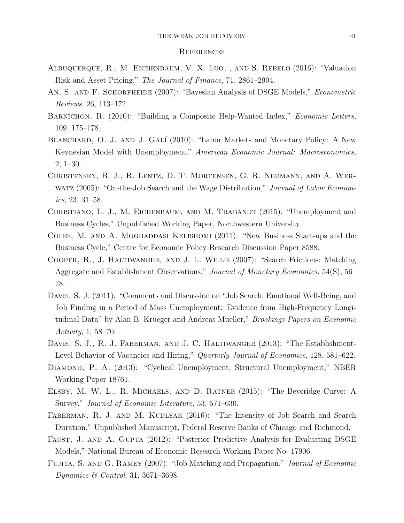#### **REFERENCES**

- Albuquerque, R., M. Eichenbaum, V. X. Luo, , and S. Rebelo (2016): "Valuation Risk and Asset Pricing," The Journal of Finance, 71, 2861–2904.
- AN, S. AND F. SCHORFHEIDE (2007): "Bayesian Analysis of DSGE Models," *Econometric* Reviews, 26, 113–172.
- BARNICHON, R. (2010): "Building a Composite Help-Wanted Index," Economic Letters, 109, 175–178.
- BLANCHARD, O. J. AND J. GALÍ (2010): "Labor Markets and Monetary Policy: A New Keynesian Model with Unemployment," American Economic Journal: Macroeconomics, 2, 1–30.
- Christensen, B. J., R. Lentz, D. T. Mortensen, G. R. Neumann, and A. Werwatz (2005): "On-the-Job Search and the Wage Distribution," Journal of Labor Economics, 23, 31–58.
- CHRISTIANO, L. J., M. EICHENBAUM, AND M. TRABANDT (2015): "Unemployment and Business Cycles," Unpublished Working Paper, Northwestern University.
- COLES, M. AND A. MOGHADDASI KELISHOMI (2011): "New Business Start-ups and the Business Cycle," Centre for Economic Policy Research Discussion Paper 8588.
- Cooper, R., J. Haltiwanger, and J. L. Willis (2007): "Search Frictions: Matching Aggregate and Establishment Observations," Journal of Monetary Economics, 54(S), 56– 78.
- Davis, S. J. (2011): "Comments and Discussion on "Job Search, Emotional Well-Being, and Job Finding in a Period of Mass Unemployment: Evidence from High-Frequency Longitudinal Data" by Alan B. Krueger and Andreas Mueller," Brookings Papers on Economic Activity, 1, 58–70.
- DAVIS, S. J., R. J. FABERMAN, AND J. C. HALTIWANGER (2013): "The Establishment-Level Behavior of Vacancies and Hiring," Quarterly Journal of Economics, 128, 581–622.
- DIAMOND, P. A. (2013): "Cyclical Unemployment, Structural Unemployment," NBER Working Paper 18761.
- Elsby, M. W. L., R. Michaels, and D. Ratner (2015): "The Beveridge Curve: A Survey," Journal of Economic Literature, 53, 571–630.
- FABERMAN, R. J. AND M. KUDLYAK (2016): "The Intensity of Job Search and Search Duration," Unpublished Manuscript, Federal Reserve Banks of Chicago and Richmond.
- FAUST, J. AND A. GUPTA (2012): "Posterior Predictive Analysis for Evaluating DSGE Models," National Bureau of Economic Research Working Paper No. 17906.
- FUJITA, S. AND G. RAMEY (2007): "Job Matching and Propagation," Journal of Economic Dynamics & Control, 31, 3671–3698.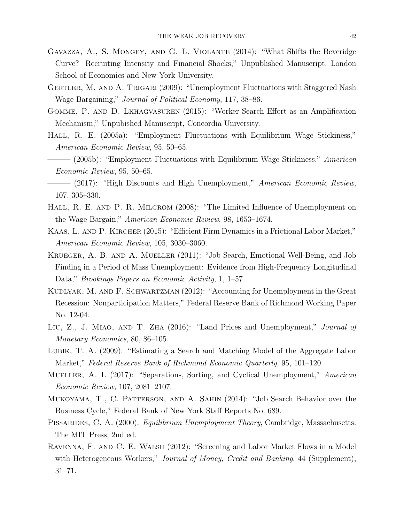- Gavazza, A., S. Mongey, and G. L. Violante (2014): "What Shifts the Beveridge Curve? Recruiting Intensity and Financial Shocks," Unpublished Manuscript, London School of Economics and New York University.
- GERTLER, M. AND A. TRIGARI (2009): "Unemployment Fluctuations with Staggered Nash Wage Bargaining," Journal of Political Economy, 117, 38–86.
- Gomme, P. and D. Lkhagvasuren (2015): "Worker Search Effort as an Amplification Mechanism," Unpubished Manuscript, Concordia University.
- Hall, R. E. (2005a): "Employment Fluctuations with Equilibrium Wage Stickiness," American Economic Review, 95, 50–65.
- $-$  (2005b): "Employment Fluctuations with Equilibrium Wage Stickiness," American Economic Review, 95, 50–65.
- $-$  (2017): "High Discounts and High Unemployment," American Economic Review, 107, 305–330.
- HALL, R. E. AND P. R. MILGROM (2008): "The Limited Influence of Unemployment on the Wage Bargain," American Economic Review, 98, 1653–1674.
- Kaas, L. and P. Kircher (2015): "Efficient Firm Dynamics in a Frictional Labor Market," American Economic Review, 105, 3030–3060.
- Krueger, A. B. and A. Mueller (2011): "Job Search, Emotional Well-Being, and Job Finding in a Period of Mass Unemployment: Evidence from High-Frequency Longitudinal Data," *Brookings Papers on Economic Activity*, 1, 1–57.
- KUDLYAK, M. AND F. SCHWARTZMAN (2012): "Accounting for Unemployment in the Great Recession: Nonparticipation Matters," Federal Reserve Bank of Richmond Working Paper No. 12-04.
- Liu, Z., J. Miao, and T. Zha (2016): "Land Prices and Unemployment," Journal of Monetary Economics, 80, 86–105.
- Lubik, T. A. (2009): "Estimating a Search and Matching Model of the Aggregate Labor Market," Federal Reserve Bank of Richmond Economic Quarterly, 95, 101–120.
- MUELLER, A. I. (2017): "Separations, Sorting, and Cyclical Unemployment," American Economic Review, 107, 2081–2107.
- Mukoyama, T., C. Patterson, and A. Sahin (2014): "Job Search Behavior over the Business Cycle," Federal Bank of New York Staff Reports No. 689.
- PISSARIDES, C. A. (2000): *Equilibrium Unemployment Theory*, Cambridge, Massachusetts: The MIT Press, 2nd ed.
- Ravenna, F. and C. E. Walsh (2012): "Screening and Labor Market Flows in a Model with Heterogeneous Workers," Journal of Money, Credit and Banking, 44 (Supplement), 31–71.